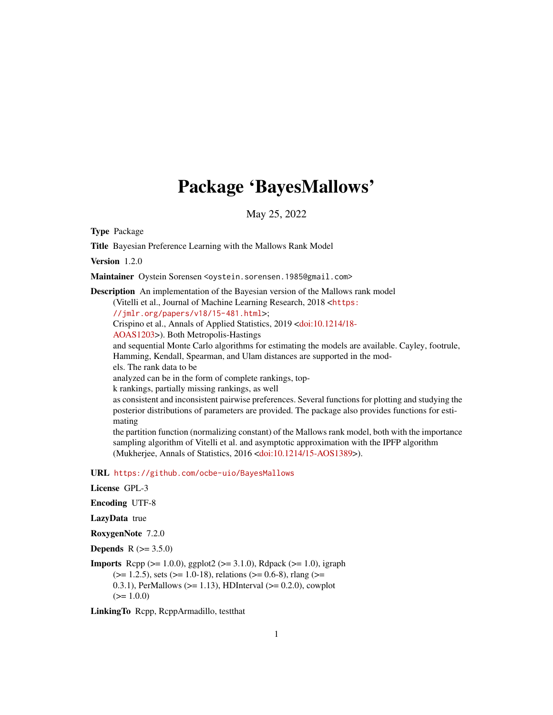## Package 'BayesMallows'

May 25, 2022

<span id="page-0-0"></span>Type Package

Title Bayesian Preference Learning with the Mallows Rank Model

Version 1.2.0

Maintainer Oystein Sorensen <oystein.sorensen.1985@gmail.com>

Description An implementation of the Bayesian version of the Mallows rank model (Vitelli et al., Journal of Machine Learning Research, 2018 <[https:](https://jmlr.org/papers/v18/15-481.html) [//jmlr.org/papers/v18/15-481.html](https://jmlr.org/papers/v18/15-481.html)>; Crispino et al., Annals of Applied Statistics, 2019 [<doi:10.1214/18-](https://doi.org/10.1214/18-AOAS1203) [AOAS1203>](https://doi.org/10.1214/18-AOAS1203)). Both Metropolis-Hastings and sequential Monte Carlo algorithms for estimating the models are available. Cayley, footrule, Hamming, Kendall, Spearman, and Ulam distances are supported in the models. The rank data to be analyzed can be in the form of complete rankings, topk rankings, partially missing rankings, as well as consistent and inconsistent pairwise preferences. Several functions for plotting and studying the posterior distributions of parameters are provided. The package also provides functions for estimating the partition function (normalizing constant) of the Mallows rank model, both with the importance sampling algorithm of Vitelli et al. and asymptotic approximation with the IPFP algorithm (Mukherjee, Annals of Statistics, 2016 [<doi:10.1214/15-AOS1389>](https://doi.org/10.1214/15-AOS1389)).

URL <https://github.com/ocbe-uio/BayesMallows>

License GPL-3

Encoding UTF-8

LazyData true

RoxygenNote 7.2.0

**Depends** R  $(>= 3.5.0)$ 

**Imports** Rcpp ( $>= 1.0.0$ ), ggplot2 ( $>= 3.1.0$ ), Rdpack ( $>= 1.0$ ), igraph  $(>= 1.2.5)$ , sets  $(>= 1.0-18)$ , relations  $(>= 0.6-8)$ , rlang  $(>= 1.2.5)$ 0.3.1), PerMallows ( $>= 1.13$ ), HDInterval ( $>= 0.2.0$ ), cowplot  $(>= 1.0.0)$ 

LinkingTo Rcpp, RcppArmadillo, testthat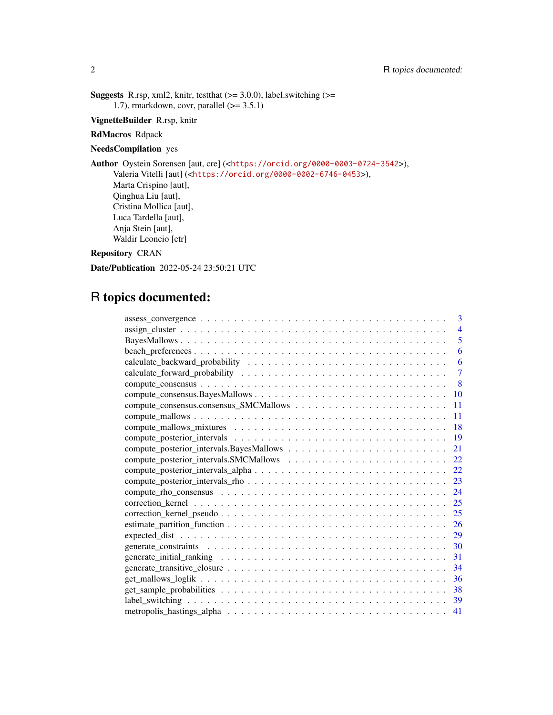**Suggests** R.rsp, xml2, knitr, test that  $(>= 3.0.0)$ , label.switching  $(>=$ 1.7), rmarkdown, covr, parallel  $(>= 3.5.1)$ 

VignetteBuilder R.rsp, knitr

RdMacros Rdpack

NeedsCompilation yes

Author Oystein Sorensen [aut, cre] (<<https://orcid.org/0000-0003-0724-3542>>), Valeria Vitelli [aut] (<<https://orcid.org/0000-0002-6746-0453>>), Marta Crispino [aut], Qinghua Liu [aut], Cristina Mollica [aut], Luca Tardella [aut], Anja Stein [aut], Waldir Leoncio [ctr]

Repository CRAN

Date/Publication 2022-05-24 23:50:21 UTC

## R topics documented:

| 3                       |
|-------------------------|
| 4                       |
| $\overline{\mathbf{5}}$ |
| 6                       |
| 6                       |
| 7                       |
| 8                       |
| 10                      |
| 11                      |
| 11                      |
| 18                      |
| 19                      |
| 21                      |
| 22                      |
| 22                      |
| 23                      |
| 24                      |
| 25                      |
| 25                      |
| 26                      |
| 29                      |
| 30                      |
| 31                      |
| 34                      |
| 36                      |
| 38                      |
| 39                      |
| 41                      |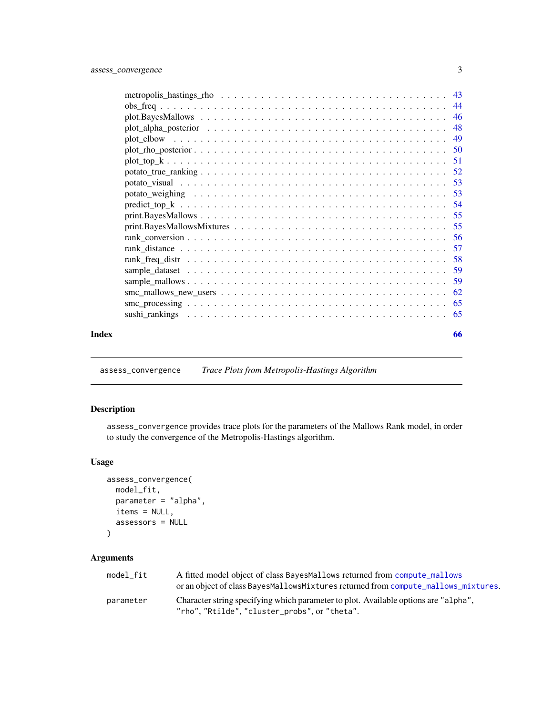<span id="page-2-0"></span>

|       | $smc\_mallows_new_users \ldots \ldots \ldots \ldots \ldots \ldots \ldots \ldots \ldots \ldots \ldots \ldots \ldots$ |    |
|-------|---------------------------------------------------------------------------------------------------------------------|----|
|       |                                                                                                                     |    |
|       |                                                                                                                     |    |
| Index |                                                                                                                     | 66 |

<span id="page-2-1"></span>assess\_convergence *Trace Plots from Metropolis-Hastings Algorithm*

## Description

assess\_convergence provides trace plots for the parameters of the Mallows Rank model, in order to study the convergence of the Metropolis-Hastings algorithm.

## Usage

```
assess_convergence(
 model_fit,
 parameter = "alpha",
 items = NULL,
 assessors = NULL
)
```
## Arguments

| model fit | A fitted model object of class BayesMallows returned from compute mallows<br>or an object of class BayesMallowsMixtures returned from compute_mallows_mixtures. |
|-----------|-----------------------------------------------------------------------------------------------------------------------------------------------------------------|
| parameter | Character string specifying which parameter to plot. Available options are "alpha",<br>"rho", "Rtilde", "cluster_probs", or "theta".                            |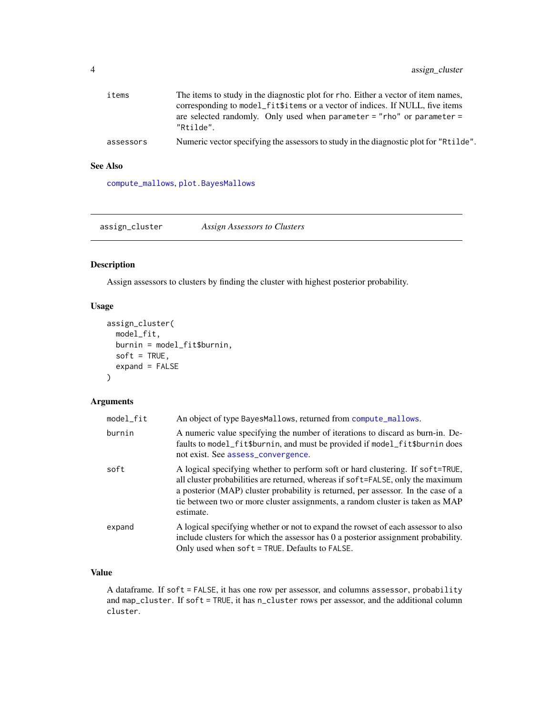<span id="page-3-0"></span>

| items     | The items to study in the diagnostic plot for rho. Either a vector of item names,     |
|-----------|---------------------------------------------------------------------------------------|
|           | corresponding to model_fit\$items or a vector of indices. If NULL, five items         |
|           | are selected randomly. Only used when parameter = "rho" or parameter =<br>"Rtilde".   |
| assessors | Numeric vector specifying the assessors to study in the diagnostic plot for "Rtilde". |

## See Also

[compute\\_mallows](#page-10-1), [plot.BayesMallows](#page-45-1)

assign\_cluster *Assign Assessors to Clusters*

## Description

Assign assessors to clusters by finding the cluster with highest posterior probability.

## Usage

```
assign_cluster(
  model_fit,
  burnin = model_fit$burnin,
  soft = TRUE,expand = FALSE\mathcal{L}
```
## Arguments

| model_fit | An object of type BayesMallows, returned from compute_mallows.                                                                                                                                                                                                                                                                                       |
|-----------|------------------------------------------------------------------------------------------------------------------------------------------------------------------------------------------------------------------------------------------------------------------------------------------------------------------------------------------------------|
| burnin    | A numeric value specifying the number of iterations to discard as burn-in. De-<br>faults to model_fit\$burnin, and must be provided if model_fit\$burnin does<br>not exist. See assess_convergence.                                                                                                                                                  |
| soft      | A logical specifying whether to perform soft or hard clustering. If soft=TRUE,<br>all cluster probabilities are returned, whereas if soft=FALSE, only the maximum<br>a posterior (MAP) cluster probability is returned, per assessor. In the case of a<br>tie between two or more cluster assignments, a random cluster is taken as MAP<br>estimate. |
| expand    | A logical specifying whether or not to expand the rowset of each assessor to also<br>include clusters for which the assessor has 0 a posterior assignment probability.<br>Only used when $\text{soft} = \text{TRUE}$ . Defaults to FALSE.                                                                                                            |

## Value

A dataframe. If soft = FALSE, it has one row per assessor, and columns assessor, probability and map\_cluster. If soft = TRUE, it has n\_cluster rows per assessor, and the additional column cluster.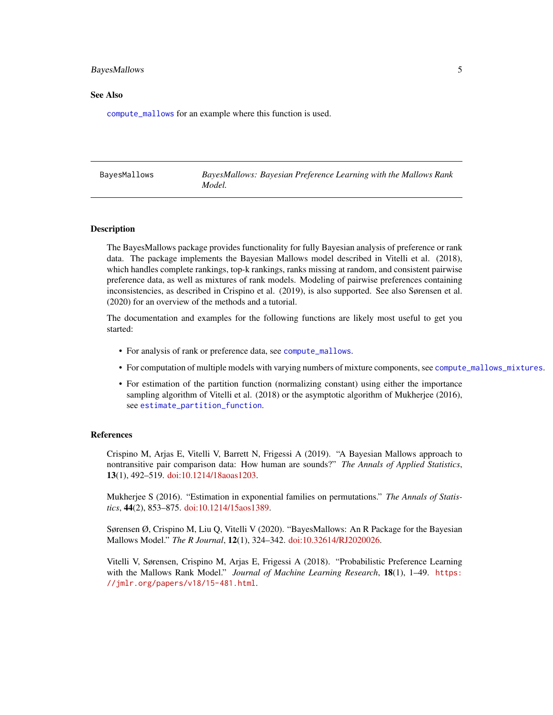#### <span id="page-4-0"></span>BayesMallows 5

#### See Also

[compute\\_mallows](#page-10-1) for an example where this function is used.

| BayesMallows: Bayesian Preference Learning with the Mallows Rank<br>BavesMallows<br>Model. |  |
|--------------------------------------------------------------------------------------------|--|
|--------------------------------------------------------------------------------------------|--|

#### Description

The BayesMallows package provides functionality for fully Bayesian analysis of preference or rank data. The package implements the Bayesian Mallows model described in Vitelli et al. (2018), which handles complete rankings, top-k rankings, ranks missing at random, and consistent pairwise preference data, as well as mixtures of rank models. Modeling of pairwise preferences containing inconsistencies, as described in Crispino et al. (2019), is also supported. See also Sørensen et al. (2020) for an overview of the methods and a tutorial.

The documentation and examples for the following functions are likely most useful to get you started:

- For analysis of rank or preference data, see [compute\\_mallows](#page-10-1).
- For computation of multiple models with varying numbers of mixture components, see [compute\\_mallows\\_mixtures](#page-17-1).
- For estimation of the partition function (normalizing constant) using either the importance sampling algorithm of Vitelli et al. (2018) or the asymptotic algorithm of Mukherjee (2016), see [estimate\\_partition\\_function](#page-25-1).

#### References

Crispino M, Arjas E, Vitelli V, Barrett N, Frigessi A (2019). "A Bayesian Mallows approach to nontransitive pair comparison data: How human are sounds?" *The Annals of Applied Statistics*, 13(1), 492–519. [doi:10.1214/18aoas1203.](https://doi.org/10.1214/18-aoas1203)

Mukherjee S (2016). "Estimation in exponential families on permutations." *The Annals of Statistics*, 44(2), 853–875. [doi:10.1214/15aos1389.](https://doi.org/10.1214/15-aos1389)

Sørensen Ø, Crispino M, Liu Q, Vitelli V (2020). "BayesMallows: An R Package for the Bayesian Mallows Model." *The R Journal*, 12(1), 324–342. [doi:10.32614/RJ2020026.](https://doi.org/10.32614/RJ-2020-026)

Vitelli V, Sørensen, Crispino M, Arjas E, Frigessi A (2018). "Probabilistic Preference Learning with the Mallows Rank Model." *Journal of Machine Learning Research*, 18(1), 1–49. [https:](https://jmlr.org/papers/v18/15-481.html) [//jmlr.org/papers/v18/15-481.html](https://jmlr.org/papers/v18/15-481.html).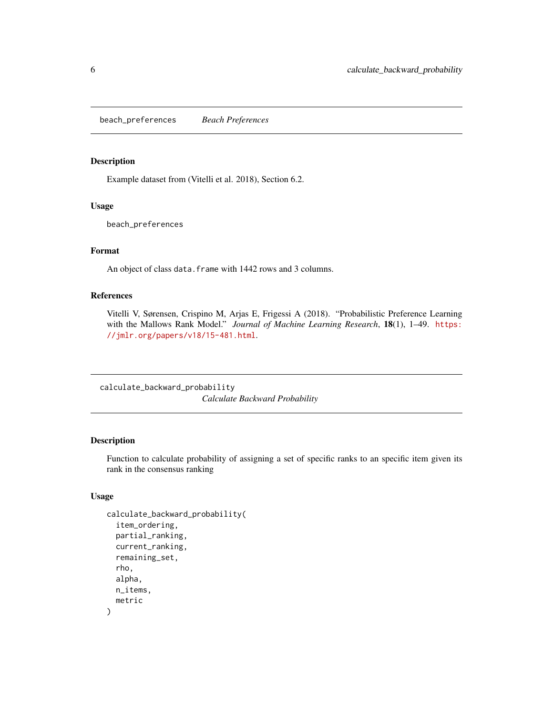<span id="page-5-0"></span>beach\_preferences *Beach Preferences*

#### Description

Example dataset from (Vitelli et al. 2018), Section 6.2.

#### Usage

beach\_preferences

## Format

An object of class data. frame with 1442 rows and 3 columns.

#### References

Vitelli V, Sørensen, Crispino M, Arjas E, Frigessi A (2018). "Probabilistic Preference Learning with the Mallows Rank Model." *Journal of Machine Learning Research*, 18(1), 1–49. [https:](https://jmlr.org/papers/v18/15-481.html) [//jmlr.org/papers/v18/15-481.html](https://jmlr.org/papers/v18/15-481.html).

calculate\_backward\_probability *Calculate Backward Probability*

#### Description

Function to calculate probability of assigning a set of specific ranks to an specific item given its rank in the consensus ranking

## Usage

```
calculate_backward_probability(
  item_ordering,
  partial_ranking,
  current_ranking,
  remaining_set,
  rho,
  alpha,
 n_items,
  metric
)
```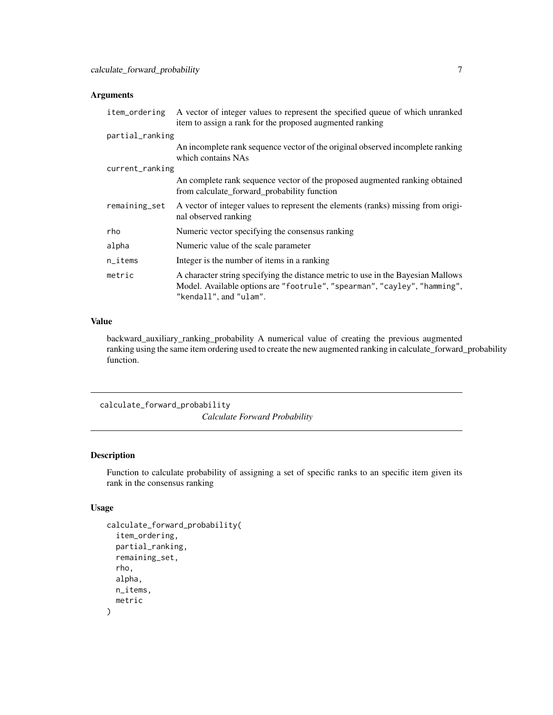## <span id="page-6-0"></span>Arguments

| item_ordering          | A vector of integer values to represent the specified queue of which unranked<br>item to assign a rank for the proposed augmented ranking                                               |
|------------------------|-----------------------------------------------------------------------------------------------------------------------------------------------------------------------------------------|
| partial_ranking        |                                                                                                                                                                                         |
|                        | An incomplete rank sequence vector of the original observed incomplete ranking<br>which contains NAs                                                                                    |
| current_ranking        |                                                                                                                                                                                         |
|                        | An complete rank sequence vector of the proposed augmented ranking obtained<br>from calculate_forward_probability function                                                              |
| remaining_set          | A vector of integer values to represent the elements (ranks) missing from origi-<br>nal observed ranking                                                                                |
| rho                    | Numeric vector specifying the consensus ranking                                                                                                                                         |
| alpha                  | Numeric value of the scale parameter                                                                                                                                                    |
| $n$ <sub>_i</sub> tems | Integer is the number of items in a ranking                                                                                                                                             |
| metric                 | A character string specifying the distance metric to use in the Bayesian Mallows<br>Model. Available options are "footrule", "spearman", "cayley", "hamming",<br>"kendall", and "ulam". |

#### Value

backward\_auxiliary\_ranking\_probability A numerical value of creating the previous augmented ranking using the same item ordering used to create the new augmented ranking in calculate\_forward\_probability function.

calculate\_forward\_probability *Calculate Forward Probability*

#### Description

Function to calculate probability of assigning a set of specific ranks to an specific item given its rank in the consensus ranking

## Usage

```
calculate_forward_probability(
  item_ordering,
 partial_ranking,
  remaining_set,
  rho,
  alpha,
 n_items,
  metric
)
```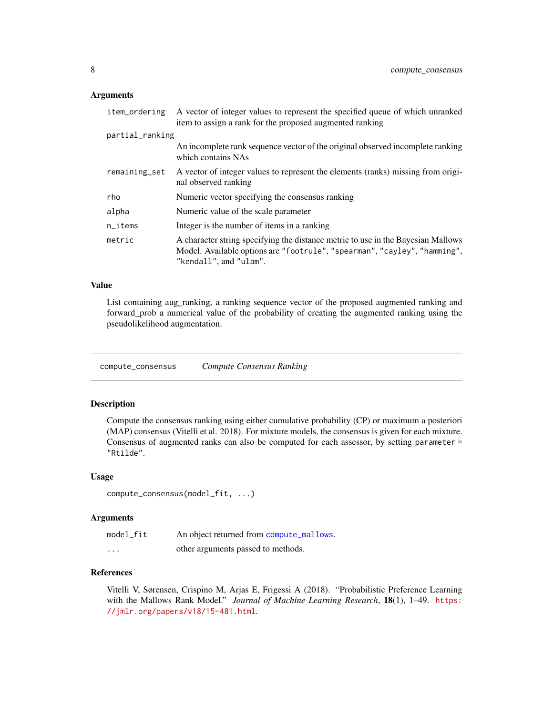#### <span id="page-7-0"></span>Arguments

| item_ordering          | A vector of integer values to represent the specified queue of which unranked<br>item to assign a rank for the proposed augmented ranking                                               |
|------------------------|-----------------------------------------------------------------------------------------------------------------------------------------------------------------------------------------|
| partial_ranking        |                                                                                                                                                                                         |
|                        | An incomplete rank sequence vector of the original observed incomplete ranking<br>which contains NAs                                                                                    |
| remaining_set          | A vector of integer values to represent the elements (ranks) missing from origi-<br>nal observed ranking                                                                                |
| rho                    | Numeric vector specifying the consensus ranking                                                                                                                                         |
| alpha                  | Numeric value of the scale parameter                                                                                                                                                    |
| $n$ <sub>_i</sub> tems | Integer is the number of items in a ranking                                                                                                                                             |
| metric                 | A character string specifying the distance metric to use in the Bayesian Mallows<br>Model. Available options are "footrule", "spearman", "cayley", "hamming",<br>"kendall", and "ulam". |

#### Value

List containing aug\_ranking, a ranking sequence vector of the proposed augmented ranking and forward\_prob a numerical value of the probability of creating the augmented ranking using the pseudolikelihood augmentation.

compute\_consensus *Compute Consensus Ranking*

#### Description

Compute the consensus ranking using either cumulative probability (CP) or maximum a posteriori (MAP) consensus (Vitelli et al. 2018). For mixture models, the consensus is given for each mixture. Consensus of augmented ranks can also be computed for each assessor, by setting parameter = "Rtilde".

## Usage

```
compute_consensus(model_fit, ...)
```
## Arguments

| model_fit | An object returned from compute_mallows. |
|-----------|------------------------------------------|
| $\cdots$  | other arguments passed to methods.       |

## References

Vitelli V, Sørensen, Crispino M, Arjas E, Frigessi A (2018). "Probabilistic Preference Learning with the Mallows Rank Model." *Journal of Machine Learning Research*, 18(1), 1–49. [https:](https://jmlr.org/papers/v18/15-481.html) [//jmlr.org/papers/v18/15-481.html](https://jmlr.org/papers/v18/15-481.html).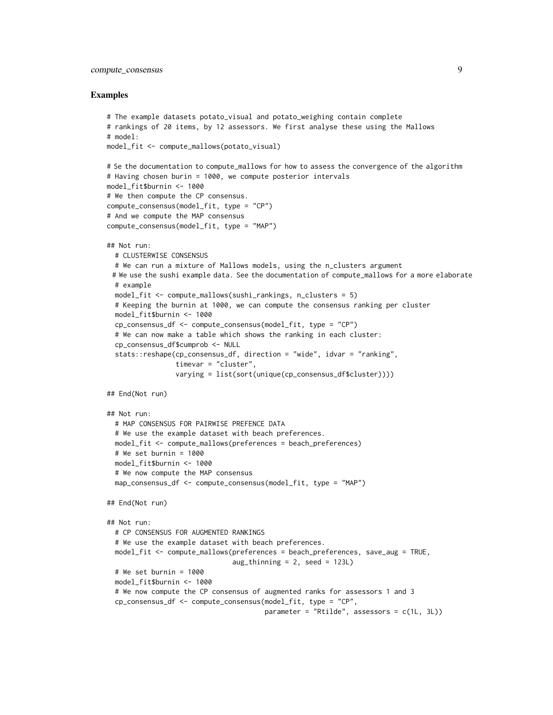## compute\_consensus 9

```
# The example datasets potato_visual and potato_weighing contain complete
# rankings of 20 items, by 12 assessors. We first analyse these using the Mallows
# model:
model_fit <- compute_mallows(potato_visual)
# Se the documentation to compute_mallows for how to assess the convergence of the algorithm
# Having chosen burin = 1000, we compute posterior intervals
model_fit$burnin <- 1000
# We then compute the CP consensus.
compute_consensus(model_fit, type = "CP")
# And we compute the MAP consensus
compute_consensus(model_fit, type = "MAP")
## Not run:
 # CLUSTERWISE CONSENSUS
 # We can run a mixture of Mallows models, using the n_clusters argument
 # We use the sushi example data. See the documentation of compute_mallows for a more elaborate
 # example
 model_fit <- compute_mallows(sushi_rankings, n_clusters = 5)
 # Keeping the burnin at 1000, we can compute the consensus ranking per cluster
 model_fit$burnin <- 1000
 cp_consensus_df <- compute_consensus(model_fit, type = "CP")
 # We can now make a table which shows the ranking in each cluster:
 cp_consensus_df$cumprob <- NULL
 stats::reshape(cp_consensus_df, direction = "wide", idvar = "ranking",
                 timevar = "cluster",
                 varying = list(sort(unique(cp_consensus_df$cluster))))
## End(Not run)
## Not run:
 # MAP CONSENSUS FOR PAIRWISE PREFENCE DATA
 # We use the example dataset with beach preferences.
 model_fit <- compute_mallows(preferences = beach_preferences)
 # We set burnin = 1000
 model_fit$burnin <- 1000
 # We now compute the MAP consensus
 map_consensus_df <- compute_consensus(model_fit, type = "MAP")
## End(Not run)
## Not run:
 # CP CONSENSUS FOR AUGMENTED RANKINGS
 # We use the example dataset with beach preferences.
 model_fit <- compute_mallows(preferences = beach_preferences, save_aug = TRUE,
                               aug_thinning = 2, seed = 123L)
 # We set burnin = 1000
 model_fit$burnin <- 1000
 # We now compute the CP consensus of augmented ranks for assessors 1 and 3
 cp_consensus_df <- compute_consensus(model_fit, type = "CP",
                                       parameter = "Rtilde", assessors = c(1L, 3L))
```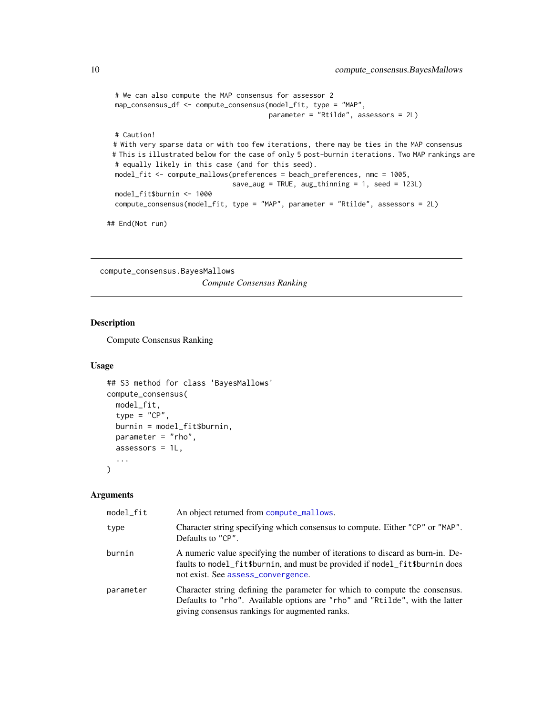```
# We can also compute the MAP consensus for assessor 2
map_consensus_df <- compute_consensus(model_fit, type = "MAP",
                                       parameter = "Rtilde", assessors = 2L)
# Caution!
# With very sparse data or with too few iterations, there may be ties in the MAP consensus
# This is illustrated below for the case of only 5 post-burnin iterations. Two MAP rankings are
# equally likely in this case (and for this seed).
model_fit <- compute_mallows(preferences = beach_preferences, nmc = 1005,
                              save_aug = TRUE, aug_thinning = 1, seed = 123L)
model_fit$burnin <- 1000
compute_consensus(model_fit, type = "MAP", parameter = "Rtilde", assessors = 2L)
```
## End(Not run)

compute\_consensus.BayesMallows *Compute Consensus Ranking*

## Description

Compute Consensus Ranking

#### Usage

```
## S3 method for class 'BayesMallows'
compute_consensus(
 model_fit,
  type = "CP",
  burnin = model_fit$burnin,
 parameter = "rho",
  assessors = 1L,
  ...
\mathcal{L}
```
#### Arguments

| model_fit | An object returned from compute_mallows.                                                                                                                                                                      |
|-----------|---------------------------------------------------------------------------------------------------------------------------------------------------------------------------------------------------------------|
| type      | Character string specifying which consensus to compute. Either "CP" or "MAP".<br>Defaults to "CP".                                                                                                            |
| burnin    | A numeric value specifying the number of iterations to discard as burn-in. De-<br>faults to model_fit\$burnin, and must be provided if model_fit\$burnin does<br>not exist. See assess_convergence.           |
| parameter | Character string defining the parameter for which to compute the consensus.<br>Defaults to "rho". Available options are "rho" and "Rtilde", with the latter<br>giving consensus rankings for augmented ranks. |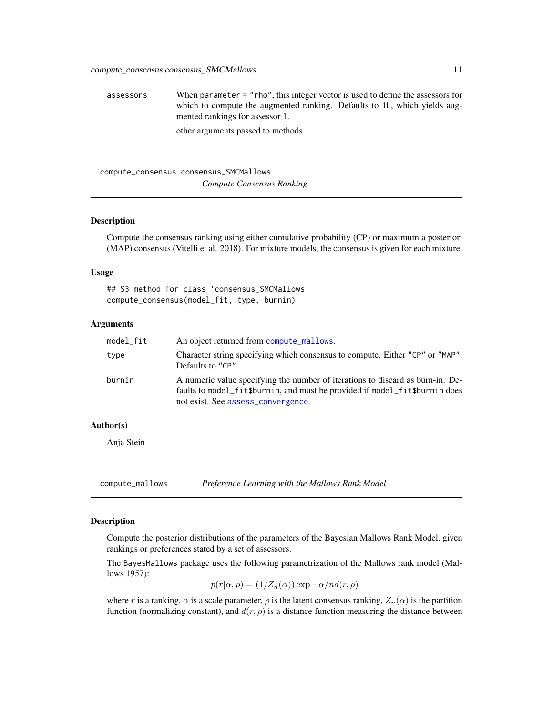<span id="page-10-0"></span>

| assessors | When parameter $=$ "rho", this integer vector is used to define the assessors for |
|-----------|-----------------------------------------------------------------------------------|
|           | which to compute the augmented ranking. Defaults to 1L, which yields aug-         |
|           | mented rankings for assessor 1.                                                   |
| $\cdots$  | other arguments passed to methods.                                                |

compute\_consensus.consensus\_SMCMallows *Compute Consensus Ranking*

### Description

Compute the consensus ranking using either cumulative probability (CP) or maximum a posteriori (MAP) consensus (Vitelli et al. 2018). For mixture models, the consensus is given for each mixture.

## Usage

## S3 method for class 'consensus\_SMCMallows' compute\_consensus(model\_fit, type, burnin)

#### Arguments

| model_fit | An object returned from compute_mallows.                                                                                                                                                            |
|-----------|-----------------------------------------------------------------------------------------------------------------------------------------------------------------------------------------------------|
| type      | Character string specifying which consensus to compute. Either "CP" or "MAP".<br>Defaults to "CP".                                                                                                  |
| burnin    | A numeric value specifying the number of iterations to discard as burn-in. De-<br>faults to model_fit\$burnin, and must be provided if model_fit\$burnin does<br>not exist. See assess_convergence. |

#### Author(s)

Anja Stein

<span id="page-10-1"></span>compute\_mallows *Preference Learning with the Mallows Rank Model*

## Description

Compute the posterior distributions of the parameters of the Bayesian Mallows Rank Model, given rankings or preferences stated by a set of assessors.

The BayesMallows package uses the following parametrization of the Mallows rank model (Mallows 1957):

$$
p(r|\alpha, \rho) = (1/Z_n(\alpha)) \exp{-\alpha/nd(r, \rho)}
$$

where r is a ranking,  $\alpha$  is a scale parameter,  $\rho$  is the latent consensus ranking,  $Z_n(\alpha)$  is the partition function (normalizing constant), and  $d(r, \rho)$  is a distance function measuring the distance between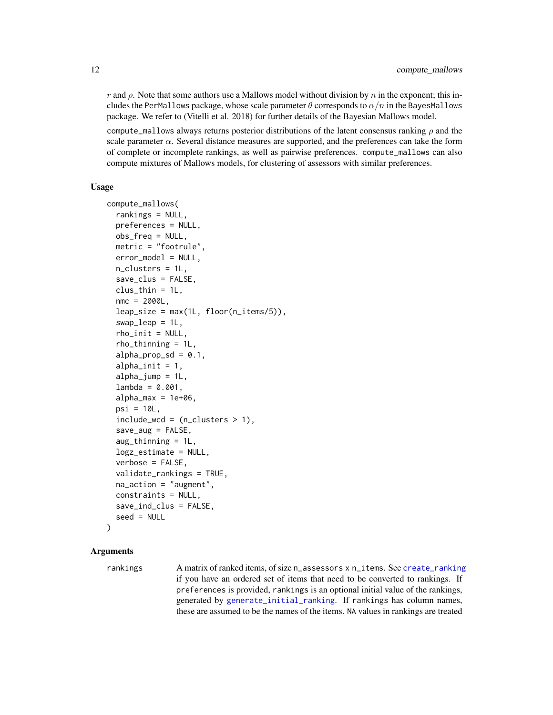r and  $\rho$ . Note that some authors use a Mallows model without division by n in the exponent; this includes the PerMallows package, whose scale parameter  $\theta$  corresponds to  $\alpha/n$  in the BayesMallows package. We refer to (Vitelli et al. 2018) for further details of the Bayesian Mallows model.

compute\_mallows always returns posterior distributions of the latent consensus ranking  $\rho$  and the scale parameter  $\alpha$ . Several distance measures are supported, and the preferences can take the form of complete or incomplete rankings, as well as pairwise preferences. compute\_mallows can also compute mixtures of Mallows models, for clustering of assessors with similar preferences.

#### Usage

```
compute_mallows(
  rankings = NULL,
  preferences = NULL,
  obs_freq = NULL,
  metric = "footrule",
  error_model = NULL,
  n_clusters = 1L,
  save_clus = FALSE,
  clus_{thin} = 1L,nmc = 2000L,
  leap\_size = max(1L, floor(n\_items/5)),swap = 1L,
  rho_init = NULL,
  rho_thinning = 1L,
  alpha_prop_sd = 0.1,
  alpha<sub>init</sub> = 1,
  alpha_jump = 1L,
  lambda = 0.001,alpha_{max} = 1e+06,
  psi = 10L,
  include\_wcd = (n_clusters > 1),save_aug = FALSE,aug_thinning = 1L,
  logz_estimate = NULL,
  verbose = FALSE,
  validate_rankings = TRUE,
  na_action = "augment",
  constraints = NULL,
  save_ind_clus = FALSE,
  seed = NULL
```
## $\lambda$

## Arguments

rankings A matrix of ranked items, of size n\_assessors x n\_items. See [create\\_ranking](#page-55-1) if you have an ordered set of items that need to be converted to rankings. If preferences is provided, rankings is an optional initial value of the rankings, generated by [generate\\_initial\\_ranking](#page-30-1). If rankings has column names, these are assumed to be the names of the items. NA values in rankings are treated

<span id="page-11-0"></span>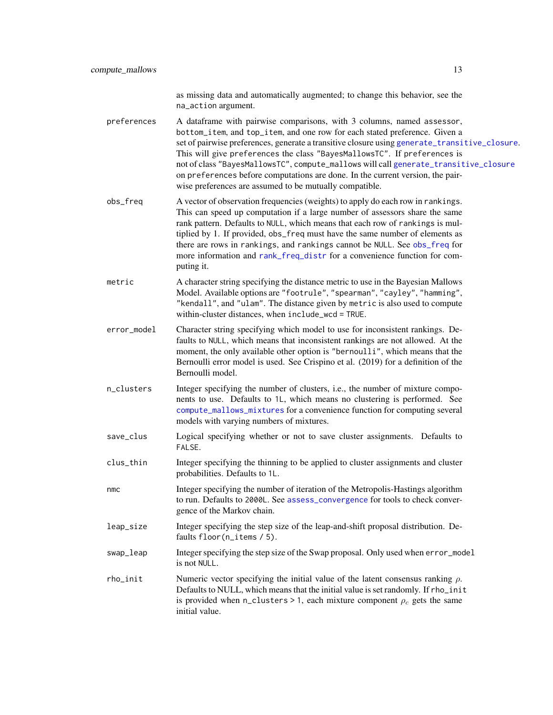as missing data and automatically augmented; to change this behavior, see the na\_action argument.

<span id="page-12-0"></span>preferences A dataframe with pairwise comparisons, with 3 columns, named assessor, bottom\_item, and top\_item, and one row for each stated preference. Given a set of pairwise preferences, generate a transitive closure using [generate\\_transitive\\_closure](#page-33-1). This will give preferences the class "BayesMallowsTC". If preferences is not of class "BayesMallowsTC", compute\_mallows will call [generate\\_transitive\\_closure](#page-33-1) on preferences before computations are done. In the current version, the pairwise preferences are assumed to be mutually compatible.

- obs\_freq A vector of observation frequencies (weights) to apply do each row in rankings. This can speed up computation if a large number of assessors share the same rank pattern. Defaults to NULL, which means that each row of rankings is multiplied by 1. If provided, obs\_freq must have the same number of elements as there are rows in rankings, and rankings cannot be NULL. See [obs\\_freq](#page-43-1) for more information and [rank\\_freq\\_distr](#page-57-1) for a convenience function for computing it.
- metric A character string specifying the distance metric to use in the Bayesian Mallows Model. Available options are "footrule", "spearman", "cayley", "hamming", "kendall", and "ulam". The distance given by metric is also used to compute within-cluster distances, when include\_wcd = TRUE.
- error\_model Character string specifying which model to use for inconsistent rankings. Defaults to NULL, which means that inconsistent rankings are not allowed. At the moment, the only available other option is "bernoulli", which means that the Bernoulli error model is used. See Crispino et al. (2019) for a definition of the Bernoulli model.
- n\_clusters Integer specifying the number of clusters, i.e., the number of mixture components to use. Defaults to 1L, which means no clustering is performed. See [compute\\_mallows\\_mixtures](#page-17-1) for a convenience function for computing several models with varying numbers of mixtures.
- save\_clus Logical specifying whether or not to save cluster assignments. Defaults to FALSE.
- clus\_thin Integer specifying the thinning to be applied to cluster assignments and cluster probabilities. Defaults to 1L.
- nmc Integer specifying the number of iteration of the Metropolis-Hastings algorithm to run. Defaults to 2000L. See [assess\\_convergence](#page-2-1) for tools to check convergence of the Markov chain.
- leap\_size Integer specifying the step size of the leap-and-shift proposal distribution. Defaults floor(n\_items / 5).
- swap\_leap Integer specifying the step size of the Swap proposal. Only used when error\_model is not NULL.
- rho\_init Numeric vector specifying the initial value of the latent consensus ranking  $ρ$ . Defaults to NULL, which means that the initial value is set randomly. If rho\_init is provided when n\_clusters > 1, each mixture component  $\rho_c$  gets the same initial value.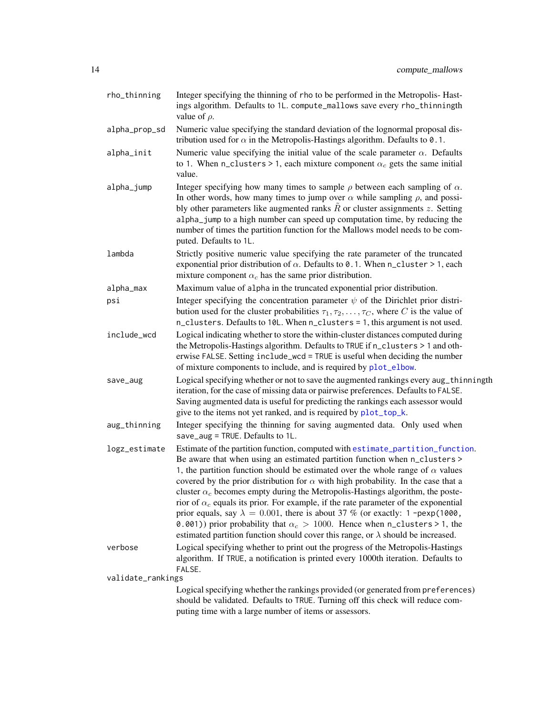<span id="page-13-0"></span>

| rho_thinning      | Integer specifying the thinning of rho to be performed in the Metropolis-Hast-<br>ings algorithm. Defaults to 1L. compute_mallows save every rho_thinningth<br>value of $\rho$ .                                                                                                                                                                                                                                                                                                                                                                                                                                                                                                                                                                                                                                |
|-------------------|-----------------------------------------------------------------------------------------------------------------------------------------------------------------------------------------------------------------------------------------------------------------------------------------------------------------------------------------------------------------------------------------------------------------------------------------------------------------------------------------------------------------------------------------------------------------------------------------------------------------------------------------------------------------------------------------------------------------------------------------------------------------------------------------------------------------|
| alpha_prop_sd     | Numeric value specifying the standard deviation of the lognormal proposal dis-<br>tribution used for $\alpha$ in the Metropolis-Hastings algorithm. Defaults to 0.1.                                                                                                                                                                                                                                                                                                                                                                                                                                                                                                                                                                                                                                            |
| alpha_init        | Numeric value specifying the initial value of the scale parameter $\alpha$ . Defaults<br>to 1. When n_clusters > 1, each mixture component $\alpha_c$ gets the same initial<br>value.                                                                                                                                                                                                                                                                                                                                                                                                                                                                                                                                                                                                                           |
| alpha_jump        | Integer specifying how many times to sample $\rho$ between each sampling of $\alpha$ .<br>In other words, how many times to jump over $\alpha$ while sampling $\rho$ , and possi-<br>bly other parameters like augmented ranks $\hat{R}$ or cluster assignments $z$ . Setting<br>alpha_jump to a high number can speed up computation time, by reducing the<br>number of times the partition function for the Mallows model needs to be com-<br>puted. Defaults to 1L.                                                                                                                                                                                                                                                                                                                                          |
| lambda            | Strictly positive numeric value specifying the rate parameter of the truncated<br>exponential prior distribution of $\alpha$ . Defaults to 0.1. When n_cluster > 1, each<br>mixture component $\alpha_c$ has the same prior distribution.                                                                                                                                                                                                                                                                                                                                                                                                                                                                                                                                                                       |
| alpha_max         | Maximum value of alpha in the truncated exponential prior distribution.                                                                                                                                                                                                                                                                                                                                                                                                                                                                                                                                                                                                                                                                                                                                         |
| psi               | Integer specifying the concentration parameter $\psi$ of the Dirichlet prior distri-<br>bution used for the cluster probabilities $\tau_1, \tau_2, \ldots, \tau_C$ , where C is the value of<br>n_clusters. Defaults to 10L. When n_clusters = 1, this argument is not used.                                                                                                                                                                                                                                                                                                                                                                                                                                                                                                                                    |
| include_wcd       | Logical indicating whether to store the within-cluster distances computed during<br>the Metropolis-Hastings algorithm. Defaults to TRUE if n_clusters > 1 and oth-<br>erwise FALSE. Setting include_wcd = TRUE is useful when deciding the number<br>of mixture components to include, and is required by plot_elbow.                                                                                                                                                                                                                                                                                                                                                                                                                                                                                           |
| save_aug          | Logical specifying whether or not to save the augmented rankings every aug_thinningth<br>iteration, for the case of missing data or pairwise preferences. Defaults to FALSE.<br>Saving augmented data is useful for predicting the rankings each assessor would<br>give to the items not yet ranked, and is required by plot_top_k.                                                                                                                                                                                                                                                                                                                                                                                                                                                                             |
| aug_thinning      | Integer specifying the thinning for saving augmented data. Only used when<br>save_aug = TRUE. Defaults to 1L.                                                                                                                                                                                                                                                                                                                                                                                                                                                                                                                                                                                                                                                                                                   |
| logz_estimate     | Estimate of the partition function, computed with estimate_partition_function.<br>Be aware that when using an estimated partition function when n_clusters ><br>1, the partition function should be estimated over the whole range of $\alpha$ values<br>covered by the prior distribution for $\alpha$ with high probability. In the case that a<br>cluster $\alpha_c$ becomes empty during the Metropolis-Hastings algorithm, the poste-<br>rior of $\alpha_c$ equals its prior. For example, if the rate parameter of the exponential<br>prior equals, say $\lambda = 0.001$ , there is about 37 % (or exactly: 1 -pexp(1000,<br>0.001) prior probability that $\alpha_c > 1000$ . Hence when n_clusters > 1, the<br>estimated partition function should cover this range, or $\lambda$ should be increased. |
| verbose           | Logical specifying whether to print out the progress of the Metropolis-Hastings<br>algorithm. If TRUE, a notification is printed every 1000th iteration. Defaults to<br>FALSE.                                                                                                                                                                                                                                                                                                                                                                                                                                                                                                                                                                                                                                  |
| validate_rankings |                                                                                                                                                                                                                                                                                                                                                                                                                                                                                                                                                                                                                                                                                                                                                                                                                 |
|                   | Logical specifying whether the rankings provided (or generated from preferences)<br>should be validated. Defaults to TRUE. Turning off this check will reduce com-<br>puting time with a large number of items or assessors.                                                                                                                                                                                                                                                                                                                                                                                                                                                                                                                                                                                    |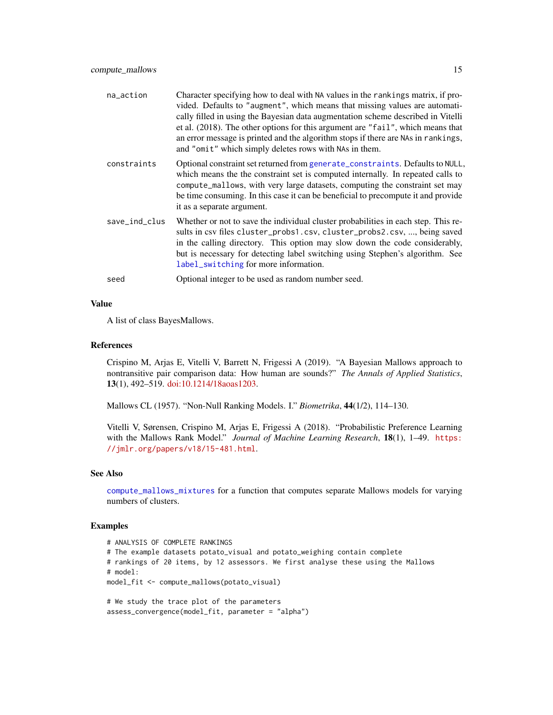<span id="page-14-0"></span>

| na_action     | Character specifying how to deal with NA values in the rankings matrix, if pro-<br>vided. Defaults to "augment", which means that missing values are automati-<br>cally filled in using the Bayesian data augmentation scheme described in Vitelli<br>et al. (2018). The other options for this argument are "fail", which means that<br>an error message is printed and the algorithm stops if there are NAs in rankings,<br>and "omit" which simply deletes rows with NAs in them. |
|---------------|--------------------------------------------------------------------------------------------------------------------------------------------------------------------------------------------------------------------------------------------------------------------------------------------------------------------------------------------------------------------------------------------------------------------------------------------------------------------------------------|
| constraints   | Optional constraint set returned from generate_constraints. Defaults to NULL,<br>which means the the constraint set is computed internally. In repeated calls to<br>compute_mallows, with very large datasets, computing the constraint set may<br>be time consuming. In this case it can be beneficial to precompute it and provide<br>it as a separate argument.                                                                                                                   |
| save_ind_clus | Whether or not to save the individual cluster probabilities in each step. This re-<br>sults in csv files cluster_probs1.csv, cluster_probs2.csv, , being saved<br>in the calling directory. This option may slow down the code considerably,<br>but is necessary for detecting label switching using Stephen's algorithm. See<br>label_switching for more information.                                                                                                               |
| seed          | Optional integer to be used as random number seed.                                                                                                                                                                                                                                                                                                                                                                                                                                   |

### Value

A list of class BayesMallows.

#### References

Crispino M, Arjas E, Vitelli V, Barrett N, Frigessi A (2019). "A Bayesian Mallows approach to nontransitive pair comparison data: How human are sounds?" *The Annals of Applied Statistics*, 13(1), 492–519. [doi:10.1214/18aoas1203.](https://doi.org/10.1214/18-aoas1203)

Mallows CL (1957). "Non-Null Ranking Models. I." *Biometrika*, 44(1/2), 114–130.

Vitelli V, Sørensen, Crispino M, Arjas E, Frigessi A (2018). "Probabilistic Preference Learning with the Mallows Rank Model." *Journal of Machine Learning Research*, 18(1), 1–49. [https:](https://jmlr.org/papers/v18/15-481.html) [//jmlr.org/papers/v18/15-481.html](https://jmlr.org/papers/v18/15-481.html).

## See Also

[compute\\_mallows\\_mixtures](#page-17-1) for a function that computes separate Mallows models for varying numbers of clusters.

```
# ANALYSIS OF COMPLETE RANKINGS
# The example datasets potato_visual and potato_weighing contain complete
# rankings of 20 items, by 12 assessors. We first analyse these using the Mallows
# model:
model_fit <- compute_mallows(potato_visual)
# We study the trace plot of the parameters
```

```
assess_convergence(model_fit, parameter = "alpha")
```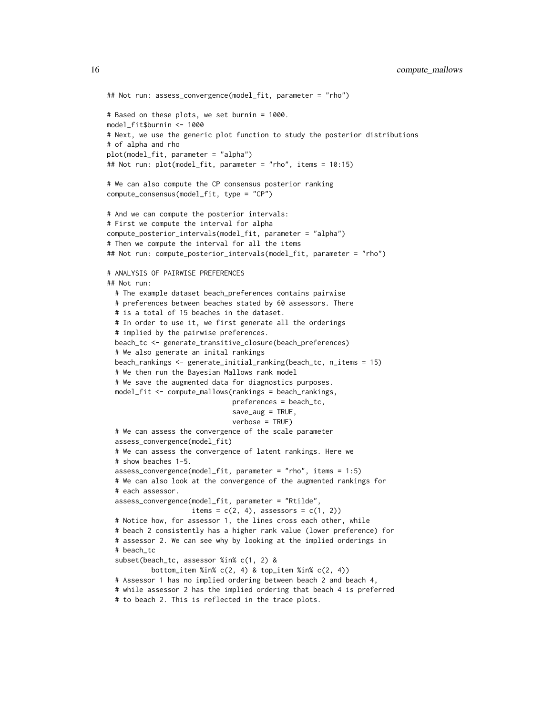```
## Not run: assess_convergence(model_fit, parameter = "rho")
# Based on these plots, we set burnin = 1000.
model_fit$burnin <- 1000
# Next, we use the generic plot function to study the posterior distributions
# of alpha and rho
plot(model_fit, parameter = "alpha")
## Not run: plot(model_fit, parameter = "rho", items = 10:15)
# We can also compute the CP consensus posterior ranking
compute_consensus(model_fit, type = "CP")
# And we can compute the posterior intervals:
# First we compute the interval for alpha
compute_posterior_intervals(model_fit, parameter = "alpha")
# Then we compute the interval for all the items
## Not run: compute_posterior_intervals(model_fit, parameter = "rho")
# ANALYSIS OF PAIRWISE PREFERENCES
## Not run:
 # The example dataset beach_preferences contains pairwise
 # preferences between beaches stated by 60 assessors. There
 # is a total of 15 beaches in the dataset.
 # In order to use it, we first generate all the orderings
  # implied by the pairwise preferences.
 beach_tc <- generate_transitive_closure(beach_preferences)
  # We also generate an inital rankings
 beach_rankings <- generate_initial_ranking(beach_tc, n_items = 15)
 # We then run the Bayesian Mallows rank model
 # We save the augmented data for diagnostics purposes.
 model_fit <- compute_mallows(rankings = beach_rankings,
                               preferences = beach_tc,
                               save_aug = TRUE,verbose = TRUE)
 # We can assess the convergence of the scale parameter
 assess_convergence(model_fit)
 # We can assess the convergence of latent rankings. Here we
  # show beaches 1-5.
 assess_convergence(model_fit, parameter = "rho", items = 1:5)
  # We can also look at the convergence of the augmented rankings for
 # each assessor.
 assess_convergence(model_fit, parameter = "Rtilde",
                    items = c(2, 4), assessors = c(1, 2))
 # Notice how, for assessor 1, the lines cross each other, while
 # beach 2 consistently has a higher rank value (lower preference) for
 # assessor 2. We can see why by looking at the implied orderings in
 # beach_tc
 subset(beach_tc, assessor %in% c(1, 2) &
          bottom_item %in% c(2, 4) & top_item %in% c(2, 4))
 # Assessor 1 has no implied ordering between beach 2 and beach 4,
  # while assessor 2 has the implied ordering that beach 4 is preferred
```
# to beach 2. This is reflected in the trace plots.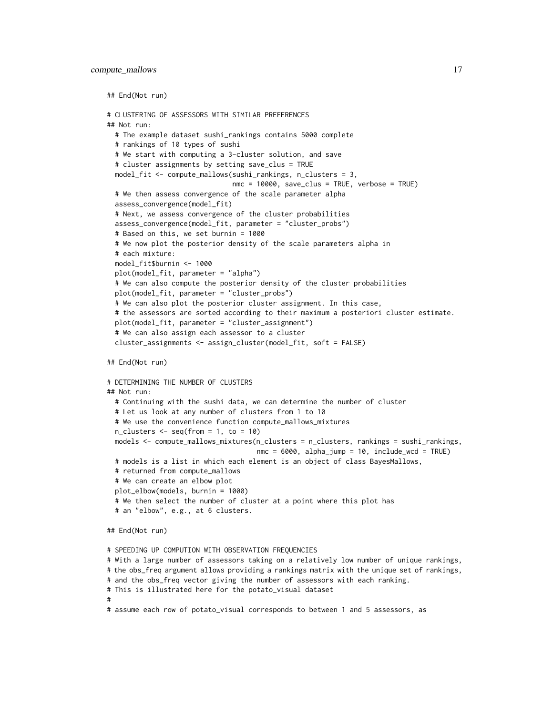```
## End(Not run)
# CLUSTERING OF ASSESSORS WITH SIMILAR PREFERENCES
## Not run:
 # The example dataset sushi_rankings contains 5000 complete
 # rankings of 10 types of sushi
 # We start with computing a 3-cluster solution, and save
  # cluster assignments by setting save_clus = TRUE
 model_fit <- compute_mallows(sushi_rankings, n_clusters = 3,
                               nmc = 10000, save_clus = TRUE, verbose = TRUE)
 # We then assess convergence of the scale parameter alpha
 assess_convergence(model_fit)
 # Next, we assess convergence of the cluster probabilities
 assess_convergence(model_fit, parameter = "cluster_probs")
 # Based on this, we set burnin = 1000
 # We now plot the posterior density of the scale parameters alpha in
 # each mixture:
 model_fit$burnin <- 1000
 plot(model_fit, parameter = "alpha")
 # We can also compute the posterior density of the cluster probabilities
 plot(model_fit, parameter = "cluster_probs")
 # We can also plot the posterior cluster assignment. In this case,
 # the assessors are sorted according to their maximum a posteriori cluster estimate.
 plot(model_fit, parameter = "cluster_assignment")
  # We can also assign each assessor to a cluster
 cluster_assignments <- assign_cluster(model_fit, soft = FALSE)
## End(Not run)
# DETERMINING THE NUMBER OF CLUSTERS
## Not run:
 # Continuing with the sushi data, we can determine the number of cluster
```

```
# Let us look at any number of clusters from 1 to 10
 # We use the convenience function compute_mallows_mixtures
 n_{\text{clusters}} \leftarrow \text{seq}(\text{from} = 1, \text{to} = 10)models <- compute_mallows_mixtures(n_clusters = n_clusters, rankings = sushi_rankings,
                                       nmc = 6000, alpha_jump = 10, include_wcd = TRUE)
 # models is a list in which each element is an object of class BayesMallows,
 # returned from compute_mallows
 # We can create an elbow plot
 plot_elbow(models, burnin = 1000)
 # We then select the number of cluster at a point where this plot has
 # an "elbow", e.g., at 6 clusters.
## End(Not run)
```

```
# SPEEDING UP COMPUTION WITH OBSERVATION FREQUENCIES
# With a large number of assessors taking on a relatively low number of unique rankings,
# the obs_freq argument allows providing a rankings matrix with the unique set of rankings,
# and the obs_freq vector giving the number of assessors with each ranking.
# This is illustrated here for the potato_visual dataset
#
# assume each row of potato_visual corresponds to between 1 and 5 assessors, as
```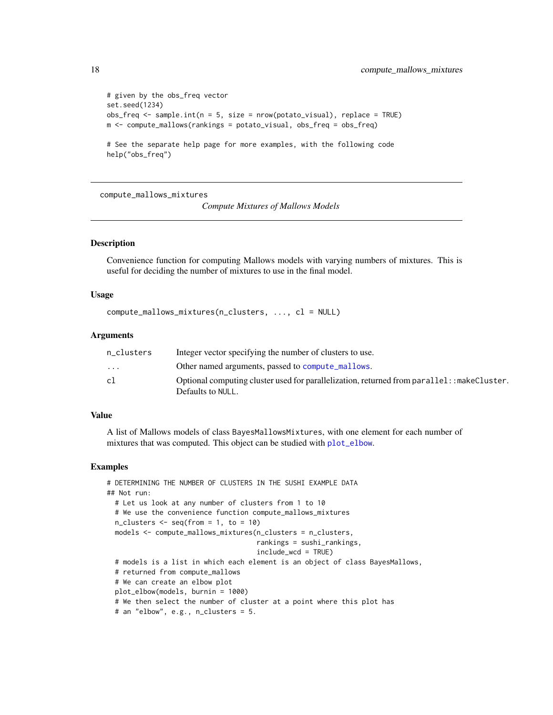```
# given by the obs_freq vector
set.seed(1234)
obs_freq <- sample.int(n = 5, size = nrow(potato_visual), replace = TRUE)
m <- compute_mallows(rankings = potato_visual, obs_freq = obs_freq)
```
# See the separate help page for more examples, with the following code help("obs\_freq")

<span id="page-17-1"></span>compute\_mallows\_mixtures

*Compute Mixtures of Mallows Models*

## Description

Convenience function for computing Mallows models with varying numbers of mixtures. This is useful for deciding the number of mixtures to use in the final model.

#### Usage

```
compute_mallows_mixtures(n_clusters, ..., cl = NULL)
```
#### Arguments

| n clusters              | Integer vector specifying the number of clusters to use.                                    |
|-------------------------|---------------------------------------------------------------------------------------------|
| $\cdot$ $\cdot$ $\cdot$ | Other named arguments, passed to compute mallows.                                           |
| cl                      | Optional computing cluster used for parallelization, returned from parallel: : makeCluster. |
|                         | Defaults to NULL.                                                                           |

#### Value

A list of Mallows models of class BayesMallowsMixtures, with one element for each number of mixtures that was computed. This object can be studied with [plot\\_elbow](#page-48-1).

```
# DETERMINING THE NUMBER OF CLUSTERS IN THE SUSHI EXAMPLE DATA
## Not run:
 # Let us look at any number of clusters from 1 to 10
 # We use the convenience function compute_mallows_mixtures
 n_{\text{clusters}} \leftarrow \text{seq}(\text{from} = 1, \text{to} = 10)models <- compute_mallows_mixtures(n_clusters = n_clusters,
                                       rankings = sushi_rankings,
                                       include_wcd = TRUE)
 # models is a list in which each element is an object of class BayesMallows,
 # returned from compute_mallows
 # We can create an elbow plot
 plot_elbow(models, burnin = 1000)
 # We then select the number of cluster at a point where this plot has
 # an "elbow", e.g., n_clusters = 5.
```
<span id="page-17-0"></span>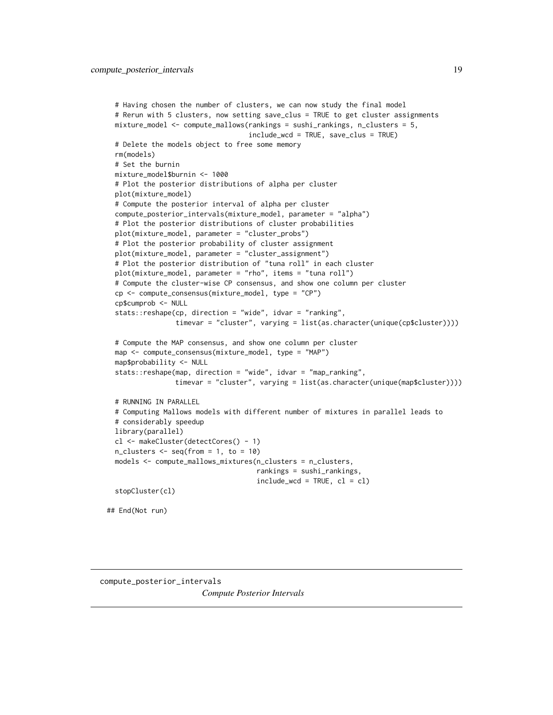```
# Having chosen the number of clusters, we can now study the final model
 # Rerun with 5 clusters, now setting save_clus = TRUE to get cluster assignments
 mixture_model <- compute_mallows(rankings = sushi_rankings, n_clusters = 5,
                                   include_wcd = TRUE, save_clus = TRUE)
 # Delete the models object to free some memory
 rm(models)
 # Set the burnin
 mixture_model$burnin <- 1000
 # Plot the posterior distributions of alpha per cluster
 plot(mixture_model)
 # Compute the posterior interval of alpha per cluster
 compute_posterior_intervals(mixture_model, parameter = "alpha")
 # Plot the posterior distributions of cluster probabilities
 plot(mixture_model, parameter = "cluster_probs")
 # Plot the posterior probability of cluster assignment
 plot(mixture_model, parameter = "cluster_assignment")
 # Plot the posterior distribution of "tuna roll" in each cluster
 plot(mixture_model, parameter = "rho", items = "tuna roll")
 # Compute the cluster-wise CP consensus, and show one column per cluster
 cp <- compute_consensus(mixture_model, type = "CP")
 cp$cumprob <- NULL
 stats::reshape(cp, direction = "wide", idvar = "ranking",
                 timevar = "cluster", varying = list(as.character(unique(cp$cluster))))
 # Compute the MAP consensus, and show one column per cluster
 map <- compute_consensus(mixture_model, type = "MAP")
 map$probability <- NULL
 stats::reshape(map, direction = "wide", idvar = "map_ranking",
                 timevar = "cluster", varying = list(as.character(unique(map$cluster))))
 # RUNNING IN PARALLEL
 # Computing Mallows models with different number of mixtures in parallel leads to
 # considerably speedup
 library(parallel)
 cl <- makeCluster(detectCores() - 1)
 n_{\text{clusters}} \leftarrow \text{seq}(\text{from} = 1, \text{to} = 10)models <- compute_mallows_mixtures(n_clusters = n_clusters,
                                     rankings = sushi_rankings,
                                     include\_wcd = TRUE, cl = clstopCluster(cl)
## End(Not run)
```

```
compute_posterior_intervals
                        Compute Posterior Intervals
```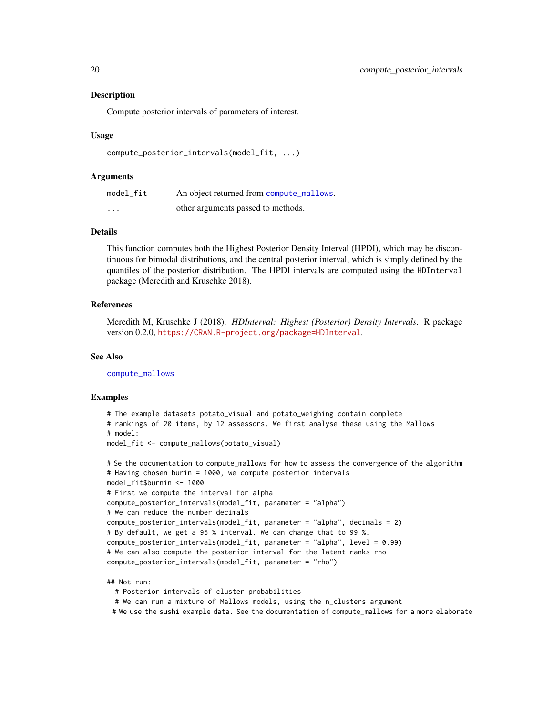#### Description

Compute posterior intervals of parameters of interest.

#### Usage

```
compute_posterior_intervals(model_fit, ...)
```
#### Arguments

| model_fit               | An object returned from compute_mallows. |
|-------------------------|------------------------------------------|
| $\cdot$ $\cdot$ $\cdot$ | other arguments passed to methods.       |

#### Details

This function computes both the Highest Posterior Density Interval (HPDI), which may be discontinuous for bimodal distributions, and the central posterior interval, which is simply defined by the quantiles of the posterior distribution. The HPDI intervals are computed using the HDInterval package (Meredith and Kruschke 2018).

#### References

Meredith M, Kruschke J (2018). *HDInterval: Highest (Posterior) Density Intervals*. R package version 0.2.0, <https://CRAN.R-project.org/package=HDInterval>.

#### See Also

[compute\\_mallows](#page-10-1)

#### Examples

```
# The example datasets potato_visual and potato_weighing contain complete
# rankings of 20 items, by 12 assessors. We first analyse these using the Mallows
# model:
model_fit <- compute_mallows(potato_visual)
# Se the documentation to compute_mallows for how to assess the convergence of the algorithm
# Having chosen burin = 1000, we compute posterior intervals
model_fit$burnin <- 1000
# First we compute the interval for alpha
compute_posterior_intervals(model_fit, parameter = "alpha")
# We can reduce the number decimals
compute_posterior_intervals(model_fit, parameter = "alpha", decimals = 2)
```

```
# By default, we get a 95 % interval. We can change that to 99 %.
compute_posterior_intervals(model_fit, parameter = "alpha", level = 0.99)
# We can also compute the posterior interval for the latent ranks rho
```
compute\_posterior\_intervals(model\_fit, parameter = "rho")

#### ## Not run:

# Posterior intervals of cluster probabilities

# We can run a mixture of Mallows models, using the n\_clusters argument

# We use the sushi example data. See the documentation of compute\_mallows for a more elaborate

<span id="page-19-0"></span>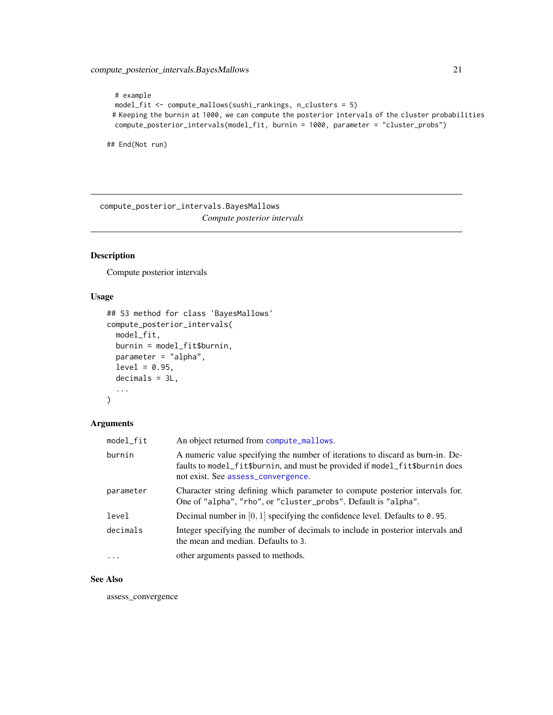```
# example
model_fit <- compute_mallows(sushi_rankings, n_clusters = 5)
# Keeping the burnin at 1000, we can compute the posterior intervals of the cluster probabilities
compute_posterior_intervals(model_fit, burnin = 1000, parameter = "cluster_probs")
```
## End(Not run)

compute\_posterior\_intervals.BayesMallows *Compute posterior intervals*

## Description

Compute posterior intervals

## Usage

```
## S3 method for class 'BayesMallows'
compute_posterior_intervals(
 model_fit,
 burnin = model_fit$burnin,
 parameter = "alpha",
  level = 0.95,decimals = 3L,
  ...
)
```
#### Arguments

| model_fit | An object returned from compute_mallows.                                                                                                                                                            |
|-----------|-----------------------------------------------------------------------------------------------------------------------------------------------------------------------------------------------------|
| burnin    | A numeric value specifying the number of iterations to discard as burn-in. De-<br>faults to model_fit\$burnin, and must be provided if model_fit\$burnin does<br>not exist. See assess_convergence. |
| parameter | Character string defining which parameter to compute posterior intervals for.<br>One of "alpha", "rho", or "cluster_probs". Default is "alpha".                                                     |
| level     | Decimal number in $[0, 1]$ specifying the confidence level. Defaults to 0.95.                                                                                                                       |
| decimals  | Integer specifying the number of decimals to include in posterior intervals and<br>the mean and median. Defaults to 3.                                                                              |
| $\ddots$  | other arguments passed to methods.                                                                                                                                                                  |

#### See Also

assess\_convergence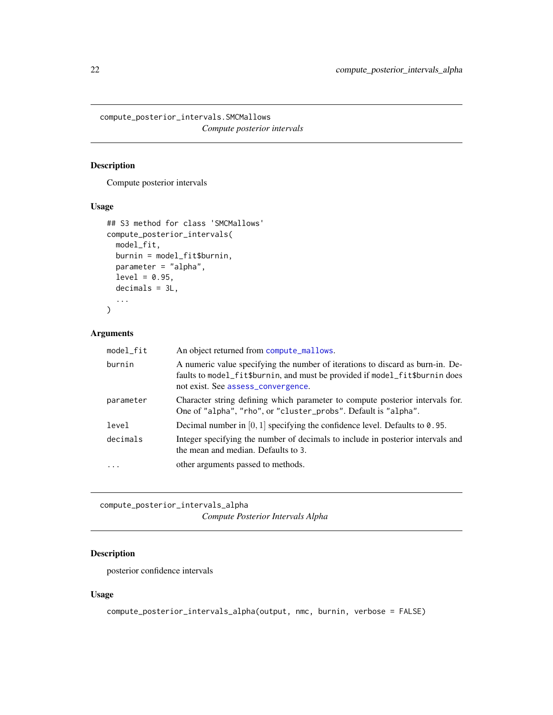<span id="page-21-0"></span>compute\_posterior\_intervals.SMCMallows *Compute posterior intervals*

## Description

Compute posterior intervals

## Usage

```
## S3 method for class 'SMCMallows'
compute_posterior_intervals(
 model_fit,
 burnin = model_fit$burnin,
 parameter = "alpha",
  level = 0.95,decimals = 3L,
  ...
)
```
## Arguments

| model_fit | An object returned from compute_mallows.                                                                                                                                                            |
|-----------|-----------------------------------------------------------------------------------------------------------------------------------------------------------------------------------------------------|
| burnin    | A numeric value specifying the number of iterations to discard as burn-in. De-<br>faults to model_fit\$burnin, and must be provided if model_fit\$burnin does<br>not exist. See assess_convergence. |
| parameter | Character string defining which parameter to compute posterior intervals for.<br>One of "alpha", "rho", or "cluster_probs". Default is "alpha".                                                     |
| level     | Decimal number in $[0, 1]$ specifying the confidence level. Defaults to 0.95.                                                                                                                       |
| decimals  | Integer specifying the number of decimals to include in posterior intervals and<br>the mean and median. Defaults to 3.                                                                              |
| .         | other arguments passed to methods.                                                                                                                                                                  |
|           |                                                                                                                                                                                                     |

compute\_posterior\_intervals\_alpha *Compute Posterior Intervals Alpha*

## Description

posterior confidence intervals

## Usage

compute\_posterior\_intervals\_alpha(output, nmc, burnin, verbose = FALSE)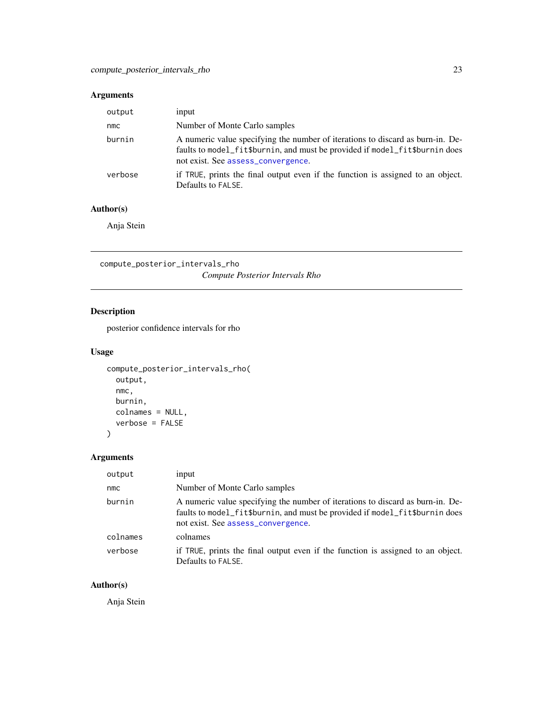## <span id="page-22-0"></span>Arguments

| output  | input                                                                                                                                                                                               |
|---------|-----------------------------------------------------------------------------------------------------------------------------------------------------------------------------------------------------|
| nmc     | Number of Monte Carlo samples                                                                                                                                                                       |
| burnin  | A numeric value specifying the number of iterations to discard as burn-in. De-<br>faults to model_fit\$burnin, and must be provided if model_fit\$burnin does<br>not exist. See assess_convergence. |
| verbose | if TRUE, prints the final output even if the function is assigned to an object.<br>Defaults to FALSE.                                                                                               |

## Author(s)

Anja Stein

compute\_posterior\_intervals\_rho *Compute Posterior Intervals Rho*

## Description

posterior confidence intervals for rho

## Usage

```
compute_posterior_intervals_rho(
  output,
  nmc,
  burnin,
  colnames = NULL,
  verbose = FALSE
)
```
## Arguments

| output   | input                                                                                                                                                                                               |
|----------|-----------------------------------------------------------------------------------------------------------------------------------------------------------------------------------------------------|
| nmc      | Number of Monte Carlo samples                                                                                                                                                                       |
| burnin   | A numeric value specifying the number of iterations to discard as burn-in. De-<br>faults to model_fit\$burnin, and must be provided if model_fit\$burnin does<br>not exist. See assess_convergence. |
| colnames | colnames                                                                                                                                                                                            |
| verbose  | if TRUE, prints the final output even if the function is assigned to an object.<br>Defaults to FALSE.                                                                                               |

## Author(s)

Anja Stein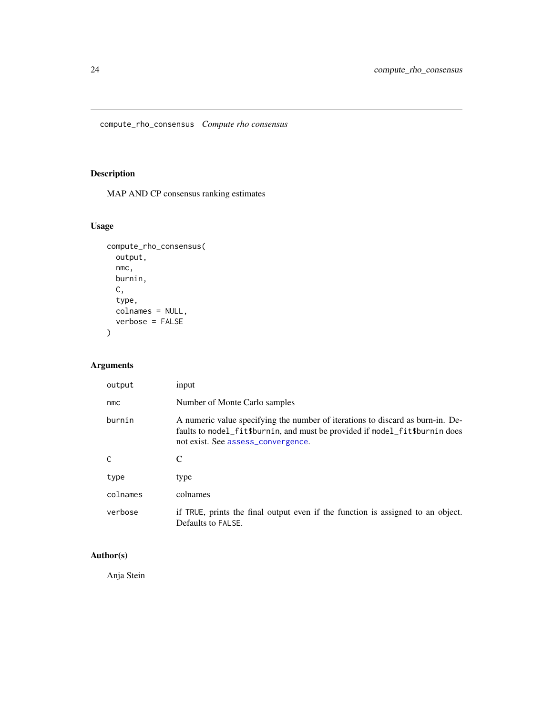<span id="page-23-0"></span>compute\_rho\_consensus *Compute rho consensus*

## Description

MAP AND CP consensus ranking estimates

## Usage

```
compute_rho_consensus(
  output,
  nmc,
  burnin,
  C,
  type,
  colnames = NULL,
  verbose = FALSE
)
```
## Arguments

| output       | input                                                                                                                                                                                               |
|--------------|-----------------------------------------------------------------------------------------------------------------------------------------------------------------------------------------------------|
| nmc          | Number of Monte Carlo samples                                                                                                                                                                       |
| burnin       | A numeric value specifying the number of iterations to discard as burn-in. De-<br>faults to model_fit\$burnin, and must be provided if model_fit\$burnin does<br>not exist. See assess_convergence. |
| $\mathsf{C}$ | C                                                                                                                                                                                                   |
| type         | type                                                                                                                                                                                                |
| colnames     | colnames                                                                                                                                                                                            |
| verbose      | if TRUE, prints the final output even if the function is assigned to an object.<br>Defaults to FALSE.                                                                                               |

## Author(s)

Anja Stein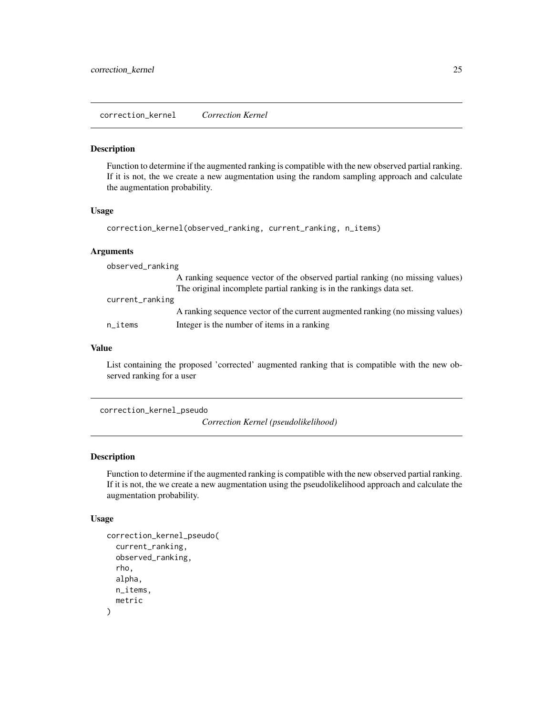<span id="page-24-0"></span>correction\_kernel *Correction Kernel*

#### Description

Function to determine if the augmented ranking is compatible with the new observed partial ranking. If it is not, the we create a new augmentation using the random sampling approach and calculate the augmentation probability.

#### Usage

```
correction_kernel(observed_ranking, current_ranking, n_items)
```
#### Arguments

| observed_ranking       |                                                                                                                                                       |  |
|------------------------|-------------------------------------------------------------------------------------------------------------------------------------------------------|--|
|                        | A ranking sequence vector of the observed partial ranking (no missing values)<br>The original incomplete partial ranking is in the rankings data set. |  |
| current_ranking        |                                                                                                                                                       |  |
|                        | A ranking sequence vector of the current augmented ranking (no missing values)                                                                        |  |
| $n$ <sub>_i</sub> tems | Integer is the number of items in a ranking                                                                                                           |  |

## Value

List containing the proposed 'corrected' augmented ranking that is compatible with the new observed ranking for a user

```
correction_kernel_pseudo
```
*Correction Kernel (pseudolikelihood)*

#### Description

Function to determine if the augmented ranking is compatible with the new observed partial ranking. If it is not, the we create a new augmentation using the pseudolikelihood approach and calculate the augmentation probability.

## Usage

```
correction_kernel_pseudo(
  current_ranking,
  observed_ranking,
  rho,
  alpha,
  n_items,
  metric
)
```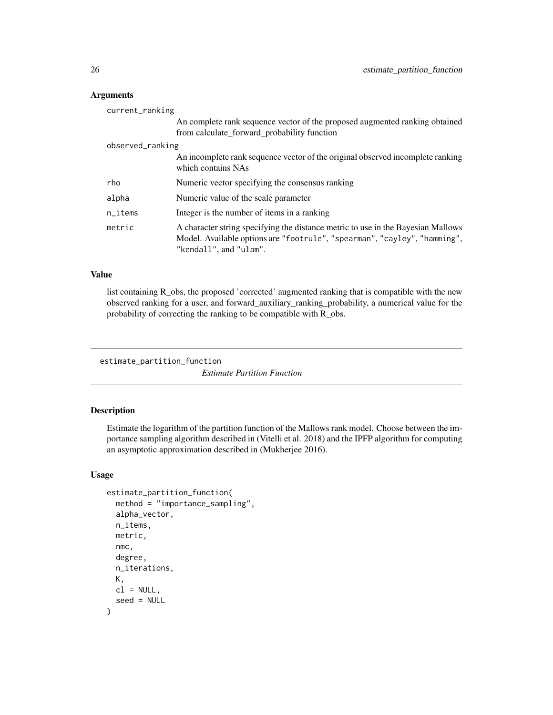## Arguments

| current_ranking        |                                                                                                                                                                                         |
|------------------------|-----------------------------------------------------------------------------------------------------------------------------------------------------------------------------------------|
|                        | An complete rank sequence vector of the proposed augmented ranking obtained                                                                                                             |
|                        | from calculate_forward_probability function                                                                                                                                             |
| observed_ranking       |                                                                                                                                                                                         |
|                        | An incomplete rank sequence vector of the original observed incomplete ranking<br>which contains NAs                                                                                    |
| rho                    | Numeric vector specifying the consensus ranking                                                                                                                                         |
| alpha                  | Numeric value of the scale parameter                                                                                                                                                    |
| $n$ <sub>_i</sub> tems | Integer is the number of items in a ranking                                                                                                                                             |
| metric                 | A character string specifying the distance metric to use in the Bayesian Mallows<br>Model. Available options are "footrule", "spearman", "cayley", "hamming",<br>"kendall", and "ulam". |

## Value

list containing R\_obs, the proposed 'corrected' augmented ranking that is compatible with the new observed ranking for a user, and forward\_auxiliary\_ranking\_probability, a numerical value for the probability of correcting the ranking to be compatible with R\_obs.

```
estimate_partition_function
```
*Estimate Partition Function*

## Description

Estimate the logarithm of the partition function of the Mallows rank model. Choose between the importance sampling algorithm described in (Vitelli et al. 2018) and the IPFP algorithm for computing an asymptotic approximation described in (Mukherjee 2016).

#### Usage

```
estimate_partition_function(
  method = "importance_sampling",
  alpha_vector,
 n_items,
  metric,
  nmc,
  degree,
  n_iterations,
 K,
 cl = NULL,seed = NULL
)
```
<span id="page-25-0"></span>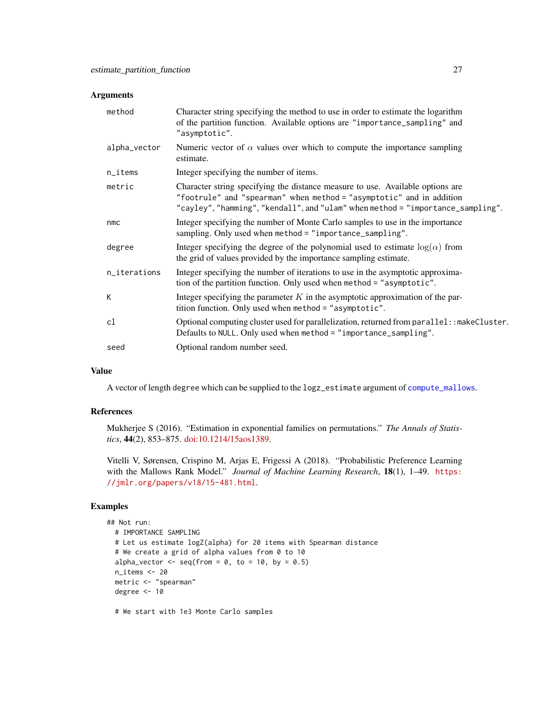#### <span id="page-26-0"></span>Arguments

| method       | Character string specifying the method to use in order to estimate the logarithm<br>of the partition function. Available options are "importance_sampling" and<br>"asymptotic".                                                           |
|--------------|-------------------------------------------------------------------------------------------------------------------------------------------------------------------------------------------------------------------------------------------|
| alpha_vector | Numeric vector of $\alpha$ values over which to compute the importance sampling<br>estimate.                                                                                                                                              |
| n_items      | Integer specifying the number of items.                                                                                                                                                                                                   |
| metric       | Character string specifying the distance measure to use. Available options are<br>"footrule" and "spearman" when method = "asymptotic" and in addition<br>"cayley", "hamming", "kendall", and "ulam" when method = "importance_sampling". |
| nmc          | Integer specifying the number of Monte Carlo samples to use in the importance<br>sampling. Only used when method = "importance_sampling".                                                                                                 |
| degree       | Integer specifying the degree of the polynomial used to estimate $log(\alpha)$ from<br>the grid of values provided by the importance sampling estimate.                                                                                   |
| n_iterations | Integer specifying the number of iterations to use in the asymptotic approxima-<br>tion of the partition function. Only used when method = "asymptotic".                                                                                  |
| К            | Integer specifying the parameter $K$ in the asymptotic approximation of the par-<br>tition function. Only used when method = "asymptotic".                                                                                                |
| cl           | Optional computing cluster used for parallelization, returned from parallel: : makeCluster.<br>Defaults to NULL. Only used when method = "importance_sampling".                                                                           |
| seed         | Optional random number seed.                                                                                                                                                                                                              |

### Value

A vector of length degree which can be supplied to the logz\_estimate argument of [compute\\_mallows](#page-10-1).

## References

Mukherjee S (2016). "Estimation in exponential families on permutations." *The Annals of Statistics*, 44(2), 853–875. [doi:10.1214/15aos1389.](https://doi.org/10.1214/15-aos1389)

Vitelli V, Sørensen, Crispino M, Arjas E, Frigessi A (2018). "Probabilistic Preference Learning with the Mallows Rank Model." *Journal of Machine Learning Research*, 18(1), 1–49. [https:](https://jmlr.org/papers/v18/15-481.html) [//jmlr.org/papers/v18/15-481.html](https://jmlr.org/papers/v18/15-481.html).

## Examples

```
## Not run:
 # IMPORTANCE SAMPLING
 # Let us estimate logZ(alpha) for 20 items with Spearman distance
 # We create a grid of alpha values from 0 to 10
 alpha_vector \leq seq(from = 0, to = 10, by = 0.5)
 n_items <- 20
 metric <- "spearman"
 degree <- 10
```
# We start with 1e3 Monte Carlo samples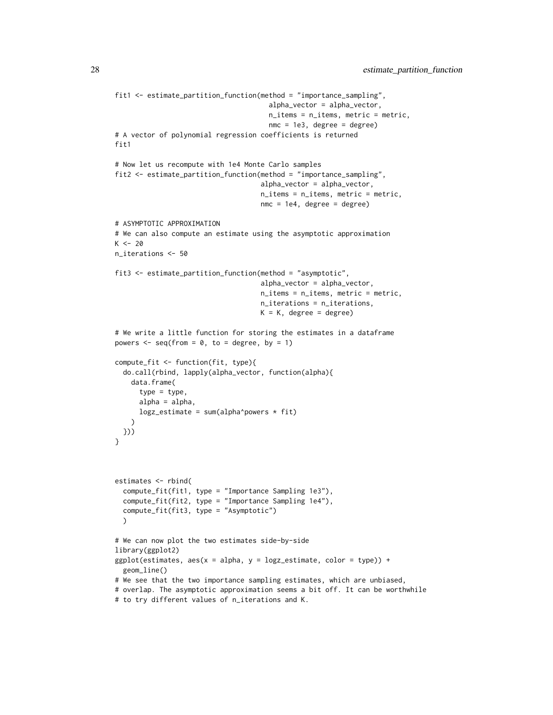```
fit1 <- estimate_partition_function(method = "importance_sampling",
                                      alpha_vector = alpha_vector,
                                      n_items = n_items, metric = metric,
                                      nmc = 1e3, degree = degree)
# A vector of polynomial regression coefficients is returned
fit1
# Now let us recompute with 1e4 Monte Carlo samples
fit2 <- estimate_partition_function(method = "importance_sampling",
                                    alpha_vector = alpha_vector,
                                    n_items = n_items, metric = metric,
                                    nmc = 1e4, degree = degree)
# ASYMPTOTIC APPROXIMATION
# We can also compute an estimate using the asymptotic approximation
K < -20n_iterations <- 50
fit3 <- estimate_partition_function(method = "asymptotic",
                                    alpha_vector = alpha_vector,
                                    n_items = n_items, metric = metric,
                                    n_iterations = n_iterations,
                                    K = K, degree = degree)
# We write a little function for storing the estimates in a dataframe
powers \leq seq(from = 0, to = degree, by = 1)
compute_fit <- function(fit, type){
  do.call(rbind, lapply(alpha_vector, function(alpha){
   data.frame(
     type = type,
     alpha = alpha,
     log z_estimate = sum(alpha^powers * fit)
    )
 }))
}
estimates <- rbind(
  compute_fit(fit1, type = "Importance Sampling 1e3"),
  compute_fit(fit2, type = "Importance Sampling 1e4"),
  compute_fit(fit3, type = "Asymptotic")
  )
# We can now plot the two estimates side-by-side
library(ggplot2)
ggplot(estimates, aes(x = alpha, y = logz_estimate, color = type)) +geom_line()
# We see that the two importance sampling estimates, which are unbiased,
# overlap. The asymptotic approximation seems a bit off. It can be worthwhile
# to try different values of n_iterations and K.
```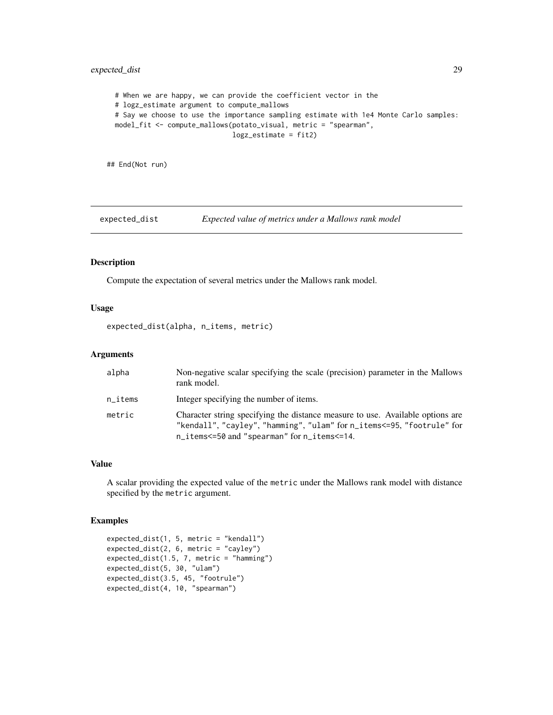## <span id="page-28-0"></span>expected\_dist 29

# When we are happy, we can provide the coefficient vector in the # logz\_estimate argument to compute\_mallows # Say we choose to use the importance sampling estimate with 1e4 Monte Carlo samples: model\_fit <- compute\_mallows(potato\_visual, metric = "spearman", logz\_estimate = fit2)

## End(Not run)

expected\_dist *Expected value of metrics under a Mallows rank model*

## Description

Compute the expectation of several metrics under the Mallows rank model.

## Usage

expected\_dist(alpha, n\_items, metric)

## Arguments

| alpha                  | Non-negative scalar specifying the scale (precision) parameter in the Mallows<br>rank model.                                                                                                            |
|------------------------|---------------------------------------------------------------------------------------------------------------------------------------------------------------------------------------------------------|
| $n$ <sub>_i</sub> tems | Integer specifying the number of items.                                                                                                                                                                 |
| metric                 | Character string specifying the distance measure to use. Available options are<br>"kendall", "cayley", "hamming", "ulam" for n_items<=95, "footrule" for<br>n_items<=50 and "spearman" for n_items<=14. |

#### Value

A scalar providing the expected value of the metric under the Mallows rank model with distance specified by the metric argument.

```
expected_dist(1, 5, metric = "kendall")
expected_dist(2, 6, metric = "cayley")
expected_dist(1.5, 7, metric = "hamming")
expected_dist(5, 30, "ulam")
expected_dist(3.5, 45, "footrule")
expected_dist(4, 10, "spearman")
```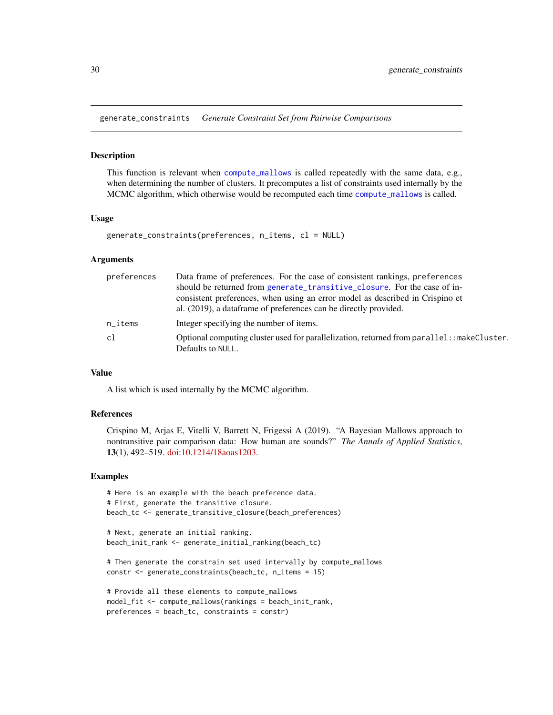<span id="page-29-1"></span><span id="page-29-0"></span>generate\_constraints *Generate Constraint Set from Pairwise Comparisons*

#### Description

This function is relevant when [compute\\_mallows](#page-10-1) is called repeatedly with the same data, e.g., when determining the number of clusters. It precomputes a list of constraints used internally by the MCMC algorithm, which otherwise would be recomputed each time [compute\\_mallows](#page-10-1) is called.

#### Usage

```
generate_constraints(preferences, n_items, cl = NULL)
```
#### Arguments

| preferences | Data frame of preferences. For the case of consistent rankings, preferences                                      |
|-------------|------------------------------------------------------------------------------------------------------------------|
|             | should be returned from generate_transitive_closure. For the case of in-                                         |
|             | consistent preferences, when using an error model as described in Crispino et                                    |
|             | al. (2019), a dataframe of preferences can be directly provided.                                                 |
| $n$ _items  | Integer specifying the number of items.                                                                          |
| c1          | Optional computing cluster used for parallelization, returned from parallel: : makeCluster.<br>Defaults to NULL. |

#### Value

A list which is used internally by the MCMC algorithm.

#### References

Crispino M, Arjas E, Vitelli V, Barrett N, Frigessi A (2019). "A Bayesian Mallows approach to nontransitive pair comparison data: How human are sounds?" *The Annals of Applied Statistics*, 13(1), 492–519. [doi:10.1214/18aoas1203.](https://doi.org/10.1214/18-aoas1203)

```
# Here is an example with the beach preference data.
# First, generate the transitive closure.
beach_tc <- generate_transitive_closure(beach_preferences)
```

```
# Next, generate an initial ranking.
beach_init_rank <- generate_initial_ranking(beach_tc)
```

```
# Then generate the constrain set used intervally by compute_mallows
constr <- generate_constraints(beach_tc, n_items = 15)
```

```
# Provide all these elements to compute_mallows
model_fit <- compute_mallows(rankings = beach_init_rank,
preferences = beach_tc, constraints = constr)
```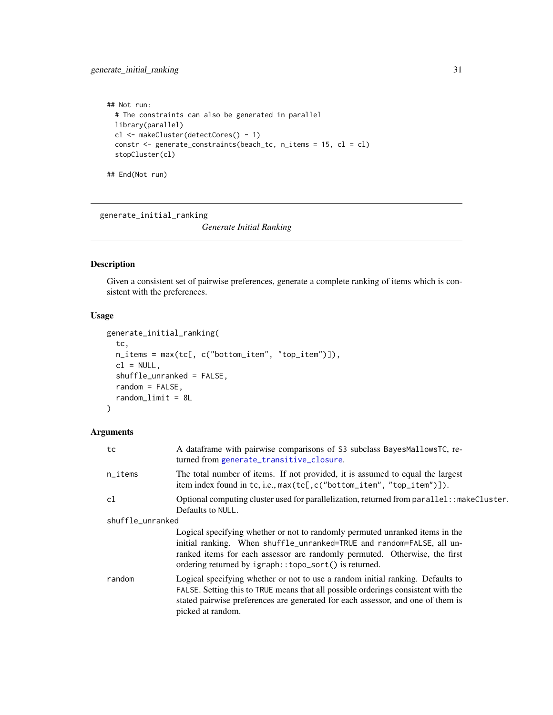```
## Not run:
 # The constraints can also be generated in parallel
 library(parallel)
 cl <- makeCluster(detectCores() - 1)
 constr <- generate_constraints(beach_tc, n_items = 15, cl = cl)
 stopCluster(cl)
```
## End(Not run)

<span id="page-30-1"></span>generate\_initial\_ranking

*Generate Initial Ranking*

#### Description

Given a consistent set of pairwise preferences, generate a complete ranking of items which is consistent with the preferences.

## Usage

```
generate_initial_ranking(
  tc,
 n_items = max(tc[, c("bottom_item", "top_item")]),
 cl = NULL,shuffle_unranked = FALSE,
  random = FALSE,
  random_limit = 8L
\mathcal{L}
```
## Arguments

| tc                     | A dataframe with pairwise comparisons of S3 subclass BayesMallowsTC, re-<br>turned from generate_transitive_closure.                                                                                                                                                                         |
|------------------------|----------------------------------------------------------------------------------------------------------------------------------------------------------------------------------------------------------------------------------------------------------------------------------------------|
| $n$ <sub>_i</sub> tems | The total number of items. If not provided, it is assumed to equal the largest<br>item index found in tc, i.e., max(tc[,c("bottom_item", "top_item")]).                                                                                                                                      |
| cl                     | Optional computing cluster used for parallelization, returned from parallel: : makeCluster.<br>Defaults to NULL.                                                                                                                                                                             |
| shuffle_unranked       |                                                                                                                                                                                                                                                                                              |
|                        | Logical specifying whether or not to randomly permuted unranked items in the<br>initial ranking. When shuffle_unranked=TRUE and random=FALSE, all un-<br>ranked items for each assessor are randomly permuted. Otherwise, the first<br>ordering returned by igraph::topo_sort() is returned. |
| random                 | Logical specifying whether or not to use a random initial ranking. Defaults to<br>FALSE. Setting this to TRUE means that all possible orderings consistent with the<br>stated pairwise preferences are generated for each assessor, and one of them is<br>picked at random.                  |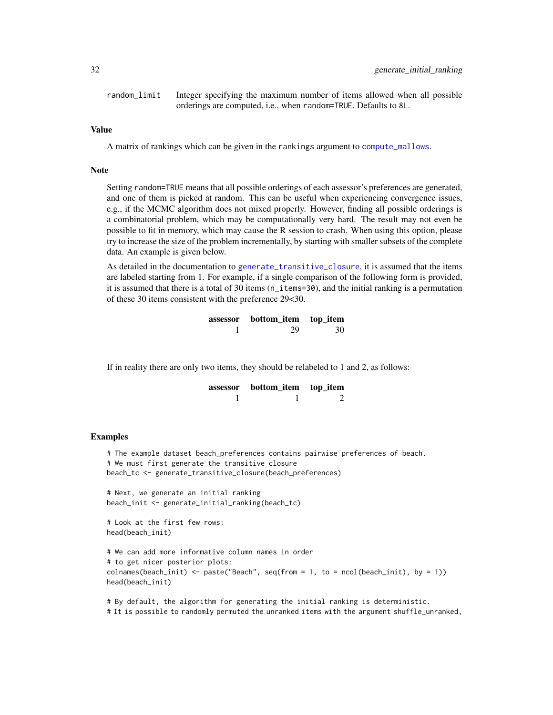<span id="page-31-0"></span>random\_limit Integer specifying the maximum number of items allowed when all possible orderings are computed, i.e., when random=TRUE. Defaults to 8L.

## Value

A matrix of rankings which can be given in the rankings argument to [compute\\_mallows](#page-10-1).

#### **Note**

Setting random=TRUE means that all possible orderings of each assessor's preferences are generated, and one of them is picked at random. This can be useful when experiencing convergence issues, e.g., if the MCMC algorithm does not mixed properly. However, finding all possible orderings is a combinatorial problem, which may be computationally very hard. The result may not even be possible to fit in memory, which may cause the R session to crash. When using this option, please try to increase the size of the problem incrementally, by starting with smaller subsets of the complete data. An example is given below.

As detailed in the documentation to [generate\\_transitive\\_closure](#page-33-1), it is assumed that the items are labeled starting from 1. For example, if a single comparison of the following form is provided, it is assumed that there is a total of 30 items (n\_items=30), and the initial ranking is a permutation of these 30 items consistent with the preference 29<30.

| assessor | bottom_item top_item |    |
|----------|----------------------|----|
|          | 29                   | 30 |

If in reality there are only two items, they should be relabeled to 1 and 2, as follows:

| assessor | bottom_item top_item |  |
|----------|----------------------|--|
|          |                      |  |

#### Examples

```
# The example dataset beach_preferences contains pairwise preferences of beach.
# We must first generate the transitive closure
beach_tc <- generate_transitive_closure(beach_preferences)
# Next, we generate an initial ranking
beach_init <- generate_initial_ranking(beach_tc)
# Look at the first few rows:
head(beach_init)
# We can add more informative column names in order
# to get nicer posterior plots:
colnames(beach_init) \leq paste("Beach", seq(from = 1, to = ncol(beach_init), by = 1))
head(beach_init)
```
# By default, the algorithm for generating the initial ranking is deterministic. # It is possible to randomly permuted the unranked items with the argument shuffle\_unranked,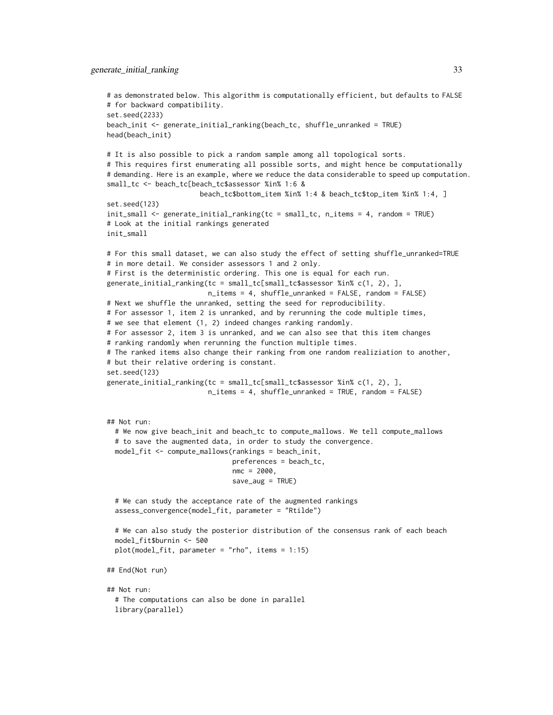```
# as demonstrated below. This algorithm is computationally efficient, but defaults to FALSE
# for backward compatibility.
set.seed(2233)
beach_init <- generate_initial_ranking(beach_tc, shuffle_unranked = TRUE)
head(beach_init)
# It is also possible to pick a random sample among all topological sorts.
# This requires first enumerating all possible sorts, and might hence be computationally
# demanding. Here is an example, where we reduce the data considerable to speed up computation.
small_tc <- beach_tc[beach_tc$assessor %in% 1:6 &
                       beach_tc$bottom_item %in% 1:4 & beach_tc$top_item %in% 1:4, ]
set.seed(123)
init_small <- generate_initial_ranking(tc = small_tc, n_items = 4, random = TRUE)
# Look at the initial rankings generated
init_small
# For this small dataset, we can also study the effect of setting shuffle_unranked=TRUE
# in more detail. We consider assessors 1 and 2 only.
# First is the deterministic ordering. This one is equal for each run.
generate_initial_ranking(tc = small_tc[small_tc$assessor %in% c(1, 2), ],
                         n_items = 4, shuffle_unranked = FALSE, random = FALSE)
# Next we shuffle the unranked, setting the seed for reproducibility.
# For assessor 1, item 2 is unranked, and by rerunning the code multiple times,
# we see that element (1, 2) indeed changes ranking randomly.
# For assessor 2, item 3 is unranked, and we can also see that this item changes
# ranking randomly when rerunning the function multiple times.
# The ranked items also change their ranking from one random realiziation to another,
# but their relative ordering is constant.
set.seed(123)
generate_initial_ranking(tc = small_tc[small_tc$assessor %in% c(1, 2), ],
                         n_items = 4, shuffle_unranked = TRUE, random = FALSE)
## Not run:
 # We now give beach_init and beach_tc to compute_mallows. We tell compute_mallows
 # to save the augmented data, in order to study the convergence.
 model_fit <- compute_mallows(rankings = beach_init,
                               preferences = beach_tc,
                               nmc = 2000,
                               save_aug = TRUE)
 # We can study the acceptance rate of the augmented rankings
 assess_convergence(model_fit, parameter = "Rtilde")
 # We can also study the posterior distribution of the consensus rank of each beach
 model_fit$burnin <- 500
 plot(model_fit, parameter = "rho", items = 1:15)
## End(Not run)
## Not run:
 # The computations can also be done in parallel
 library(parallel)
```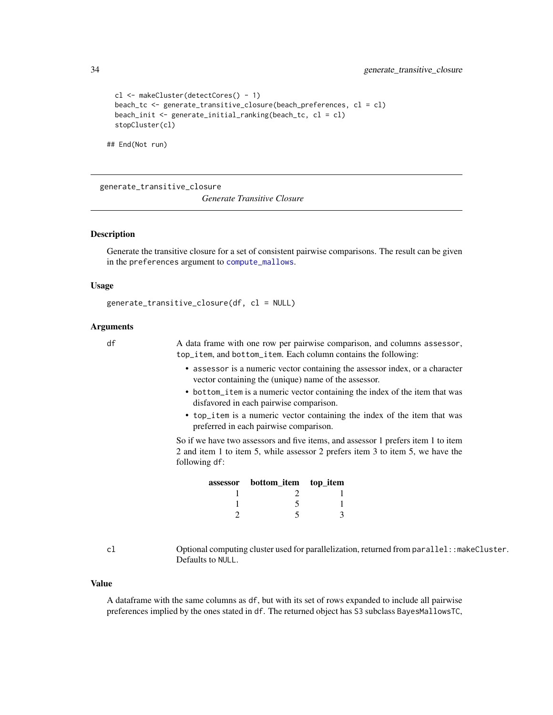```
cl <- makeCluster(detectCores() - 1)
beach_tc <- generate_transitive_closure(beach_preferences, cl = cl)
beach_init <- generate_initial_ranking(beach_tc, cl = cl)
stopCluster(cl)
```
## End(Not run)

<span id="page-33-1"></span>generate\_transitive\_closure

*Generate Transitive Closure*

## **Description**

Generate the transitive closure for a set of consistent pairwise comparisons. The result can be given in the preferences argument to [compute\\_mallows](#page-10-1).

#### Usage

```
generate_transitive_closure(df, cl = NULL)
```
## Arguments

df A data frame with one row per pairwise comparison, and columns assessor, top\_item, and bottom\_item. Each column contains the following:

- assessor is a numeric vector containing the assessor index, or a character vector containing the (unique) name of the assessor.
- bottom\_item is a numeric vector containing the index of the item that was disfavored in each pairwise comparison.
- top\_item is a numeric vector containing the index of the item that was preferred in each pairwise comparison.

So if we have two assessors and five items, and assessor 1 prefers item 1 to item 2 and item 1 to item 5, while assessor 2 prefers item 3 to item 5, we have the following df:

| assessor bottom_item top_item |  |
|-------------------------------|--|
|                               |  |
|                               |  |
|                               |  |

cl Optional computing cluster used for parallelization, returned from parallel::makeCluster. Defaults to NULL.

#### Value

A dataframe with the same columns as df, but with its set of rows expanded to include all pairwise preferences implied by the ones stated in df. The returned object has S3 subclass BayesMallowsTC,

<span id="page-33-0"></span>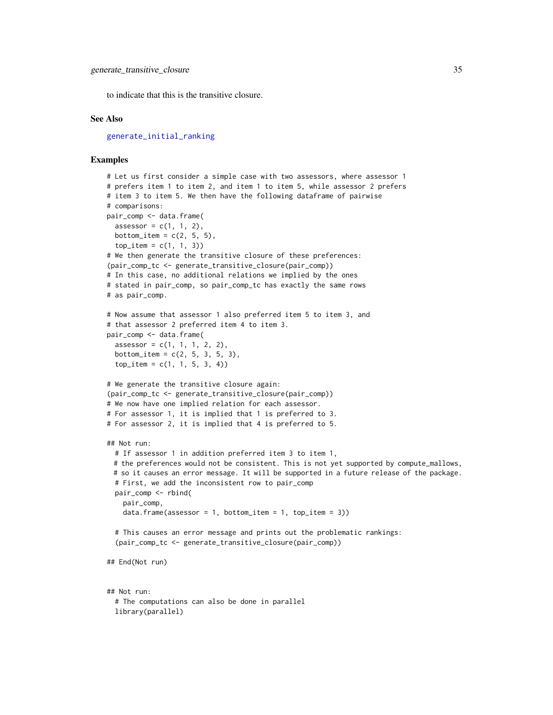<span id="page-34-0"></span>to indicate that this is the transitive closure.

#### See Also

[generate\\_initial\\_ranking](#page-30-1)

#### Examples

```
# Let us first consider a simple case with two assessors, where assessor 1
# prefers item 1 to item 2, and item 1 to item 5, while assessor 2 prefers
# item 3 to item 5. We then have the following dataframe of pairwise
# comparisons:
pair_comp <- data.frame(
 assessor = c(1, 1, 2),bottom_item = c(2, 5, 5),
 top\_item = c(1, 1, 3)# We then generate the transitive closure of these preferences:
(pair_comp_tc <- generate_transitive_closure(pair_comp))
# In this case, no additional relations we implied by the ones
# stated in pair_comp, so pair_comp_tc has exactly the same rows
# as pair_comp.
# Now assume that assessor 1 also preferred item 5 to item 3, and
# that assessor 2 preferred item 4 to item 3.
pair_comp <- data.frame(
 assessor = c(1, 1, 1, 2, 2),bottom_item = c(2, 5, 3, 5, 3),
 top\_item = c(1, 1, 5, 3, 4)# We generate the transitive closure again:
(pair_comp_tc <- generate_transitive_closure(pair_comp))
# We now have one implied relation for each assessor.
# For assessor 1, it is implied that 1 is preferred to 3.
# For assessor 2, it is implied that 4 is preferred to 5.
## Not run:
 # If assessor 1 in addition preferred item 3 to item 1,
 # the preferences would not be consistent. This is not yet supported by compute_mallows,
 # so it causes an error message. It will be supported in a future release of the package.
 # First, we add the inconsistent row to pair_comp
 pair_comp <- rbind(
   pair_comp,
    data frame (assessor = 1, bottom_time = 1, top_time = 3))# This causes an error message and prints out the problematic rankings:
  (pair_comp_tc <- generate_transitive_closure(pair_comp))
## End(Not run)
## Not run:
 # The computations can also be done in parallel
```
library(parallel)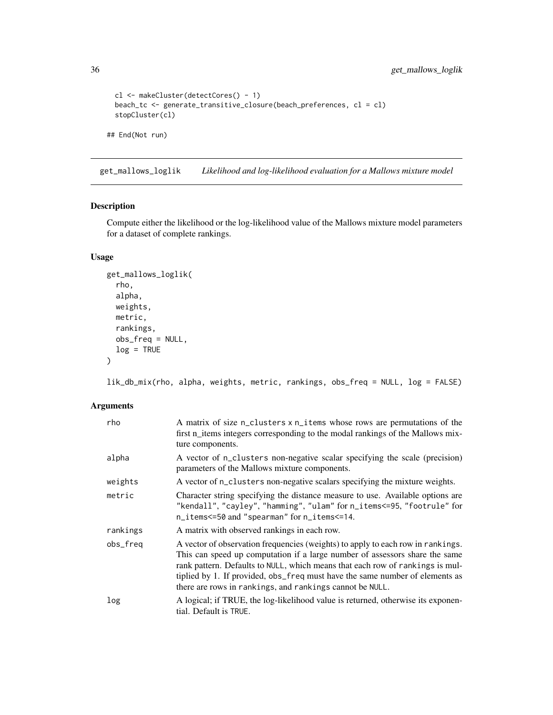```
cl <- makeCluster(detectCores() - 1)
 beach_tc <- generate_transitive_closure(beach_preferences, cl = cl)
 stopCluster(cl)
## End(Not run)
```
get\_mallows\_loglik *Likelihood and log-likelihood evaluation for a Mallows mixture model*

## Description

Compute either the likelihood or the log-likelihood value of the Mallows mixture model parameters for a dataset of complete rankings.

## Usage

```
get_mallows_loglik(
  rho,
  alpha,
  weights,
  metric,
  rankings,
  obs_freq = NULL,
  log = TRUE\mathcal{L}
```
lik\_db\_mix(rho, alpha, weights, metric, rankings, obs\_freq = NULL, log = FALSE)

## Arguments

| rho      | A matrix of size n_clusters x n_items whose rows are permutations of the<br>first n_items integers corresponding to the modal rankings of the Mallows mix-<br>ture components.                                                                                                                                                                                                              |
|----------|---------------------------------------------------------------------------------------------------------------------------------------------------------------------------------------------------------------------------------------------------------------------------------------------------------------------------------------------------------------------------------------------|
| alpha    | A vector of n_clusters non-negative scalar specifying the scale (precision)<br>parameters of the Mallows mixture components.                                                                                                                                                                                                                                                                |
| weights  | A vector of n_clusters non-negative scalars specifying the mixture weights.                                                                                                                                                                                                                                                                                                                 |
| metric   | Character string specifying the distance measure to use. Available options are<br>"kendall", "cayley", "hamming", "ulam" for n_items<=95, "footrule" for<br>n_items<=50 and "spearman" for n_items<=14.                                                                                                                                                                                     |
| rankings | A matrix with observed rankings in each row.                                                                                                                                                                                                                                                                                                                                                |
| obs_freq | A vector of observation frequencies (weights) to apply to each row in rankings.<br>This can speed up computation if a large number of assessors share the same<br>rank pattern. Defaults to NULL, which means that each row of rankings is mul-<br>tiplied by 1. If provided, obs_freq must have the same number of elements as<br>there are rows in rankings, and rankings cannot be NULL. |
| log      | A logical; if TRUE, the log-likelihood value is returned, otherwise its exponen-<br>tial. Default is TRUE.                                                                                                                                                                                                                                                                                  |

<span id="page-35-0"></span>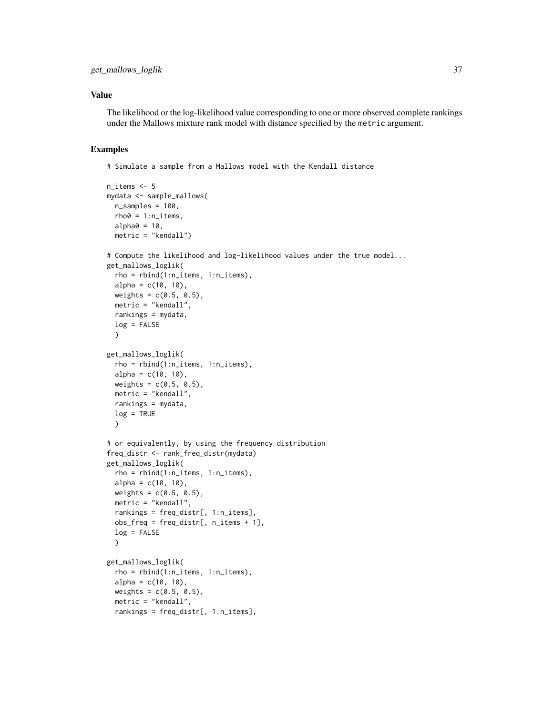## Value

The likelihood or the log-likelihood value corresponding to one or more observed complete rankings under the Mallows mixture rank model with distance specified by the metric argument.

#### Examples

```
n items <-5mydata <- sample_mallows(
 n_samples = 100,
 rho@ = 1:n\_items,alpha0 = 10,
  metric = "kendall")
# Compute the likelihood and log-likelihood values under the true model...
get_mallows_loglik(
  rho = rbind(1:n_i items, 1:n_i items),
  alpha = c(10, 10),
  weights = c(0.5, 0.5),
  metric = "kendall",
  rankings = mydata,
  log = FALSE)
get_mallows_loglik(
  rho = rbind(1:n_items, 1:n_items),
  alpha = c(10, 10),
  weights = c(0.5, 0.5),
  metric = "kendall",
  rankings = mydata,
  log = TRUE\lambda# or equivalently, by using the frequency distribution
freq_distr <- rank_freq_distr(mydata)
get_mallows_loglik(
  rho = rbind(1:n_items, 1:n_items),
  alpha = c(10, 10),
  weights = c(0.5, 0.5),
  metric = "kendall",
  rankings = freq_distr[, 1:n_items],
  obs\_freq = freq\_distr[, n\_items + 1],log = FALSE
  )
get_mallows_loglik(
  rho = rbind(1:n_items, 1:n_items),
  alpha = c(10, 10),
  weights = c(0.5, 0.5),metric = "kendall",
  rankings = freq_distr[, 1:n_items],
```
# Simulate a sample from a Mallows model with the Kendall distance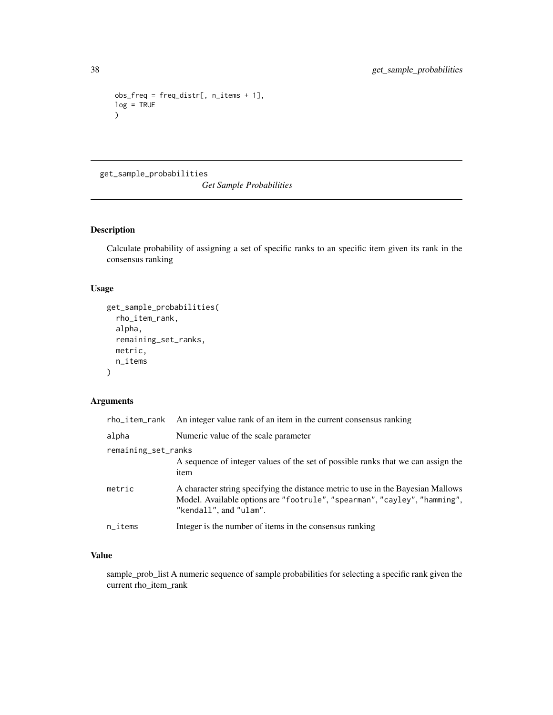```
obs\_freq = freq\_distr[, n\_items + 1],log = TRUE)
```
get\_sample\_probabilities

*Get Sample Probabilities*

## Description

Calculate probability of assigning a set of specific ranks to an specific item given its rank in the consensus ranking

## Usage

```
get_sample_probabilities(
  rho_item_rank,
 alpha,
  remaining_set_ranks,
 metric,
 n_items
)
```
## Arguments

| rho_item_rank          | An integer value rank of an item in the current consensus ranking                                                                                                                       |
|------------------------|-----------------------------------------------------------------------------------------------------------------------------------------------------------------------------------------|
| alpha                  | Numeric value of the scale parameter                                                                                                                                                    |
| remaining_set_ranks    |                                                                                                                                                                                         |
|                        | A sequence of integer values of the set of possible ranks that we can assign the<br>item                                                                                                |
| metric                 | A character string specifying the distance metric to use in the Bayesian Mallows<br>Model. Available options are "footrule", "spearman", "cayley", "hamming",<br>"kendall", and "ulam". |
| $n$ <sub>_i</sub> tems | Integer is the number of items in the consensus ranking                                                                                                                                 |

## Value

sample\_prob\_list A numeric sequence of sample probabilities for selecting a specific rank given the current rho\_item\_rank

<span id="page-37-0"></span>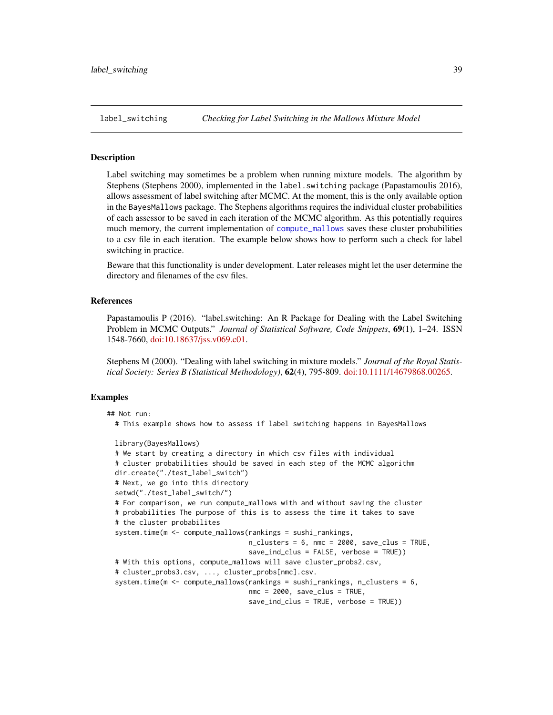<span id="page-38-1"></span><span id="page-38-0"></span>

## Description

Label switching may sometimes be a problem when running mixture models. The algorithm by Stephens (Stephens 2000), implemented in the label.switching package (Papastamoulis 2016), allows assessment of label switching after MCMC. At the moment, this is the only available option in the BayesMallows package. The Stephens algorithms requires the individual cluster probabilities of each assessor to be saved in each iteration of the MCMC algorithm. As this potentially requires much memory, the current implementation of [compute\\_mallows](#page-10-1) saves these cluster probabilities to a csv file in each iteration. The example below shows how to perform such a check for label switching in practice.

Beware that this functionality is under development. Later releases might let the user determine the directory and filenames of the csv files.

#### References

Papastamoulis P (2016). "label.switching: An R Package for Dealing with the Label Switching Problem in MCMC Outputs." *Journal of Statistical Software, Code Snippets*, 69(1), 1–24. ISSN 1548-7660, [doi:10.18637/jss.v069.c01.](https://doi.org/10.18637/jss.v069.c01)

Stephens M (2000). "Dealing with label switching in mixture models." *Journal of the Royal Statistical Society: Series B (Statistical Methodology)*, 62(4), 795-809. [doi:10.1111/14679868.00265.](https://doi.org/10.1111/1467-9868.00265)

```
## Not run:
 # This example shows how to assess if label switching happens in BayesMallows
 library(BayesMallows)
 # We start by creating a directory in which csv files with individual
 # cluster probabilities should be saved in each step of the MCMC algorithm
 dir.create("./test_label_switch")
 # Next, we go into this directory
 setwd("./test_label_switch/")
 # For comparison, we run compute_mallows with and without saving the cluster
 # probabilities The purpose of this is to assess the time it takes to save
 # the cluster probabilites
 system.time(m <- compute_mallows(rankings = sushi_rankings,
                                   n_clusters = 6, nmc = 2000, save_clus = TRUE,
                                   save_ind_clus = FALSE, verbose = TRUE))
 # With this options, compute_mallows will save cluster_probs2.csv,
 # cluster_probs3.csv, ..., cluster_probs[nmc].csv.
 system.time(m <- compute_mallows(rankings = sushi_rankings, n_clusters = 6,
                                  nmc = 2000, save_clus = TRUE,
                                   save_ind_clus = TRUE, verbose = TRUE))
```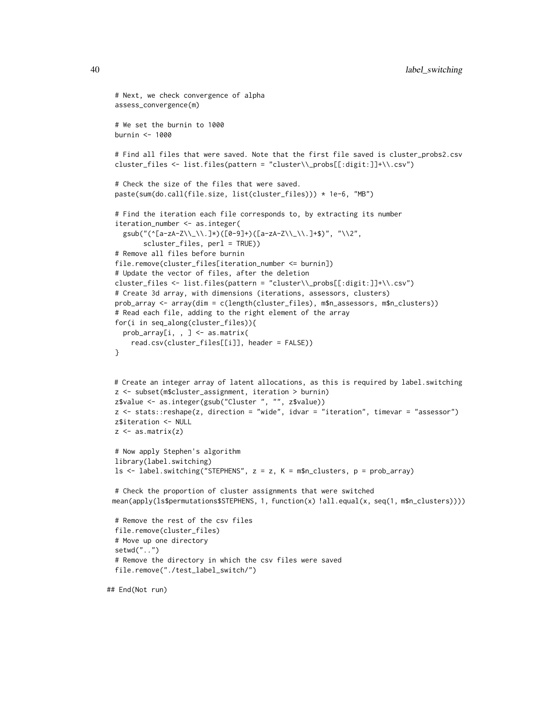```
# Next, we check convergence of alpha
assess_convergence(m)
# We set the burnin to 1000
burnin <- 1000
# Find all files that were saved. Note that the first file saved is cluster_probs2.csv
cluster_files <- list.files(pattern = "cluster\\_probs[[:digit:]]+\\.csv")
# Check the size of the files that were saved.
paste(sum(do.call(file.size, list(cluster_files))) * 1e-6, "MB")
# Find the iteration each file corresponds to, by extracting its number
iteration_number <- as.integer(
  gsub("(^[a-zA-Z\\_\\.]*)([0-9]+)([a-zA-Z\\_\\.]+$)", "\\2",
       scluster_files, perl = TRUE))
# Remove all files before burnin
file.remove(cluster_files[iteration_number <= burnin])
# Update the vector of files, after the deletion
cluster_files <- list.files(pattern = "cluster\\_probs[[:digit:]]+\\.csv")
# Create 3d array, with dimensions (iterations, assessors, clusters)
prob_array <- array(dim = c(length(cluster_files), m$n_assessors, m$n_clusters))
# Read each file, adding to the right element of the array
for(i in seq_along(cluster_files)){
  prob_array[i, , ] <- as.matrix(
    read.csv(cluster_files[[i]], header = FALSE))
}
# Create an integer array of latent allocations, as this is required by label.switching
z <- subset(m$cluster_assignment, iteration > burnin)
z$value <- as.integer(gsub("Cluster ", "", z$value))
z <- stats::reshape(z, direction = "wide", idvar = "iteration", timevar = "assessor")
z$iteration <- NULL
z \leq -as.matrix(z)# Now apply Stephen's algorithm
library(label.switching)
ls <- label.switching("STEPHENS", z = z, K = m$n_clusters, p = prob_array)
# Check the proportion of cluster assignments that were switched
mean(apply(ls$permutations$STEPHENS, 1, function(x) !all.equal(x, seq(1, m$n_clusters))))
# Remove the rest of the csv files
file.remove(cluster_files)
# Move up one directory
setwd("..")
# Remove the directory in which the csv files were saved
file.remove("./test_label_switch/")
```
## End(Not run)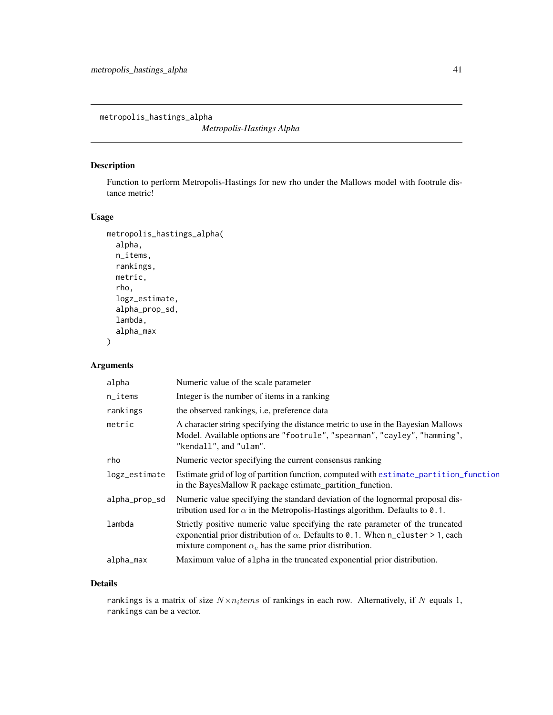<span id="page-40-0"></span>metropolis\_hastings\_alpha

*Metropolis-Hastings Alpha*

## Description

Function to perform Metropolis-Hastings for new rho under the Mallows model with footrule distance metric!

## Usage

```
metropolis_hastings_alpha(
  alpha,
 n_items,
 rankings,
 metric,
  rho,
  logz_estimate,
  alpha_prop_sd,
  lambda,
  alpha_max
)
```
## Arguments

| Numeric value of the scale parameter                                                                                                                                                                                                      |
|-------------------------------------------------------------------------------------------------------------------------------------------------------------------------------------------------------------------------------------------|
| Integer is the number of items in a ranking                                                                                                                                                                                               |
| the observed rankings, <i>i.e.</i> preference data                                                                                                                                                                                        |
| A character string specifying the distance metric to use in the Bayesian Mallows<br>Model. Available options are "footrule", "spearman", "cayley", "hamming",<br>"kendall", and "ulam".                                                   |
| Numeric vector specifying the current consensus ranking                                                                                                                                                                                   |
| Estimate grid of log of partition function, computed with estimate_partition_function<br>in the BayesMallow R package estimate_partition_function.                                                                                        |
| Numeric value specifying the standard deviation of the lognormal proposal dis-<br>tribution used for $\alpha$ in the Metropolis-Hastings algorithm. Defaults to 0.1.                                                                      |
| Strictly positive numeric value specifying the rate parameter of the truncated<br>exponential prior distribution of $\alpha$ . Defaults to 0.1. When n_cluster > 1, each<br>mixture component $\alpha_c$ has the same prior distribution. |
| Maximum value of alpha in the truncated exponential prior distribution.                                                                                                                                                                   |
|                                                                                                                                                                                                                                           |

## Details

rankings is a matrix of size  $N \times n_i$ tems of rankings in each row. Alternatively, if N equals 1, rankings can be a vector.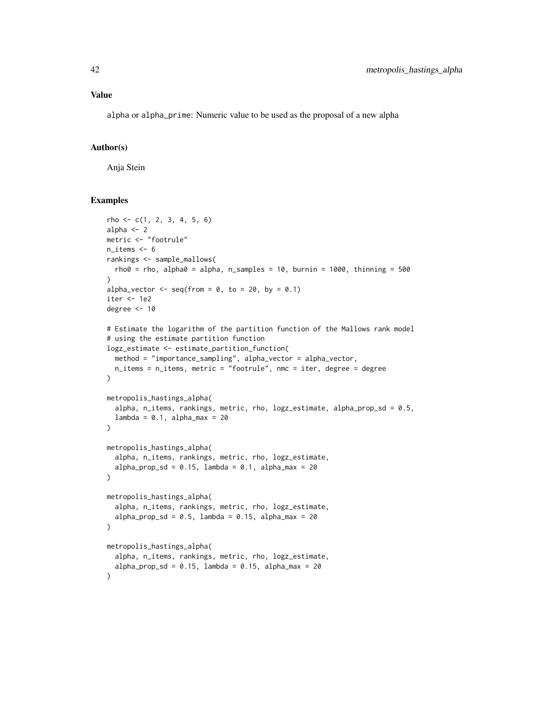## Value

alpha or alpha\_prime: Numeric value to be used as the proposal of a new alpha

## Author(s)

Anja Stein

```
rho \leftarrow c(1, 2, 3, 4, 5, 6)alpha <- 2
metric <- "footrule"
n_items <- 6
rankings <- sample_mallows(
  rho\theta = rho, alpha\theta = alpha, n_samples = 10, burnin = 1000, thinning = 500
\lambdaalpha_vector \leq seq(from = 0, to = 20, by = 0.1)
iter <- 1e2
degree <- 10
# Estimate the logarithm of the partition function of the Mallows rank model
# using the estimate partition function
logz_estimate <- estimate_partition_function(
  method = "importance_sampling", alpha_vector = alpha_vector,
  n_items = n_items, metric = "footrule", nmc = iter, degree = degree
\lambdametropolis_hastings_alpha(
  alpha, n_items, rankings, metric, rho, logz_estimate, alpha_prop_sd = 0.5,
  lambda = 0.1, alpha_max = 20\lambdametropolis_hastings_alpha(
  alpha, n_items, rankings, metric, rho, logz_estimate,
  alpha_prop_sd = 0.15, lambda = 0.1, alpha_max = 20
\lambdametropolis_hastings_alpha(
  alpha, n_items, rankings, metric, rho, logz_estimate,
  alpha_prop_sd = 0.5, lambda = 0.15, alpha_max = 20\mathcal{L}metropolis_hastings_alpha(
  alpha, n_items, rankings, metric, rho, logz_estimate,
  alpha_prop_sd = 0.15, lambda = 0.15, alpha_max = 20)
```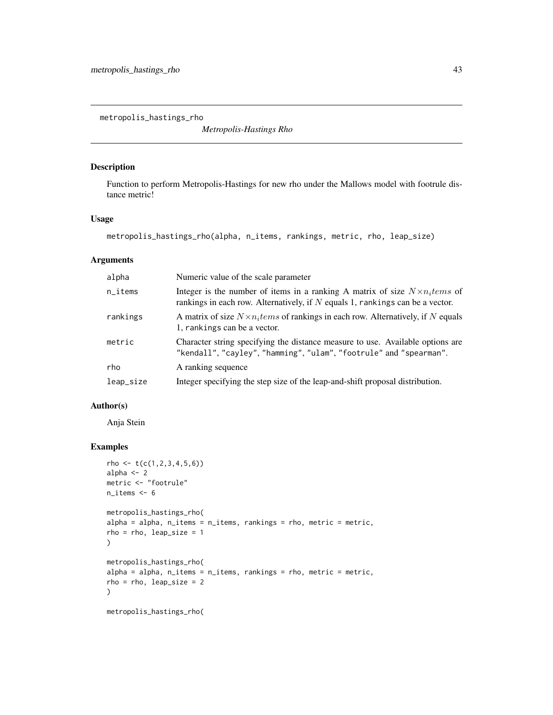<span id="page-42-0"></span>metropolis\_hastings\_rho

*Metropolis-Hastings Rho*

## Description

Function to perform Metropolis-Hastings for new rho under the Mallows model with footrule distance metric!

## Usage

```
metropolis_hastings_rho(alpha, n_items, rankings, metric, rho, leap_size)
```
## Arguments

| alpha                  | Numeric value of the scale parameter                                                                                                                                   |
|------------------------|------------------------------------------------------------------------------------------------------------------------------------------------------------------------|
| $n$ <sub>_i</sub> tems | Integer is the number of items in a ranking A matrix of size $N \times n_i$ tems of<br>rankings in each row. Alternatively, if $N$ equals 1, rankings can be a vector. |
| rankings               | A matrix of size $N \times n_i$ tems of rankings in each row. Alternatively, if N equals<br>1, rankings can be a vector.                                               |
| metric                 | Character string specifying the distance measure to use. Available options are<br>"kendall", "cayley", "hamming", "ulam", "footrule" and "spearman".                   |
| rho                    | A ranking sequence                                                                                                                                                     |
| leap_size              | Integer specifying the step size of the leap-and-shift proposal distribution.                                                                                          |

## Author(s)

Anja Stein

```
rho <- t(c(1, 2, 3, 4, 5, 6))alpha <-2metric <- "footrule"
n_items <- 6
metropolis_hastings_rho(
alpha = alpha, n_items = n_items, rankings = rho, metric = metric,
rho = rho, leap_size = 1)
metropolis_hastings_rho(
alpha = alpha, n_items = n_items, rankings = rho, metric = metric,
rho = rho, leap_size = 2\mathcal{L}metropolis_hastings_rho(
```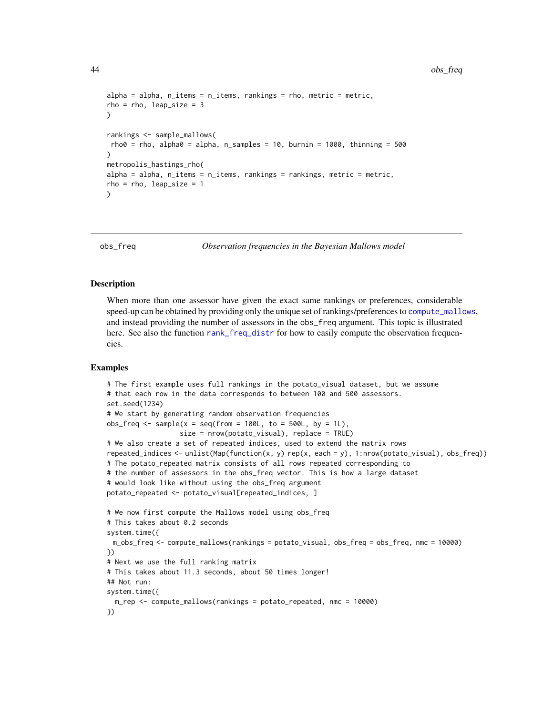```
alpha = alpha, n_items = n_items, rankings = rho, metric = metric,
rho = rho, leap_size = 3)
rankings <- sample_mallows(
rho\theta = rho, alpha\theta = alpha, n_samples = 10, burnin = 1000, thinning = 500
)
metropolis_hastings_rho(
alpha = alpha, n_items = n_items, rankings = rankings, metric = metric,
rho = rho, leap_size = 1
)
```
<span id="page-43-1"></span>

obs\_freq *Observation frequencies in the Bayesian Mallows model*

## Description

When more than one assessor have given the exact same rankings or preferences, considerable speed-up can be obtained by providing only the unique set of rankings/preferences to [compute\\_mallows](#page-10-1), and instead providing the number of assessors in the obs\_freq argument. This topic is illustrated here. See also the function [rank\\_freq\\_distr](#page-57-1) for how to easily compute the observation frequencies.

```
# The first example uses full rankings in the potato_visual dataset, but we assume
# that each row in the data corresponds to between 100 and 500 assessors.
set.seed(1234)
# We start by generating random observation frequencies
obs\_freq \leq same sample(x = seq(from = 100L, to = 500L, by = 1L),
                  size = nrow(potato_visual), replace = TRUE)
# We also create a set of repeated indices, used to extend the matrix rows
repeated_indices <- unlist(Map(function(x, y) rep(x, each = y), 1:nrow(potato_visual), obs_freq))
# The potato_repeated matrix consists of all rows repeated corresponding to
# the number of assessors in the obs_freq vector. This is how a large dataset
# would look like without using the obs_freq argument
potato_repeated <- potato_visual[repeated_indices, ]
# We now first compute the Mallows model using obs_freq
# This takes about 0.2 seconds
system.time({
 m_obs_freq <- compute_mallows(rankings = potato_visual, obs_freq = obs_freq, nmc = 10000)
})
# Next we use the full ranking matrix
# This takes about 11.3 seconds, about 50 times longer!
## Not run:
system.time({
 m_rep <- compute_mallows(rankings = potato_repeated, nmc = 10000)
})
```
<span id="page-43-0"></span>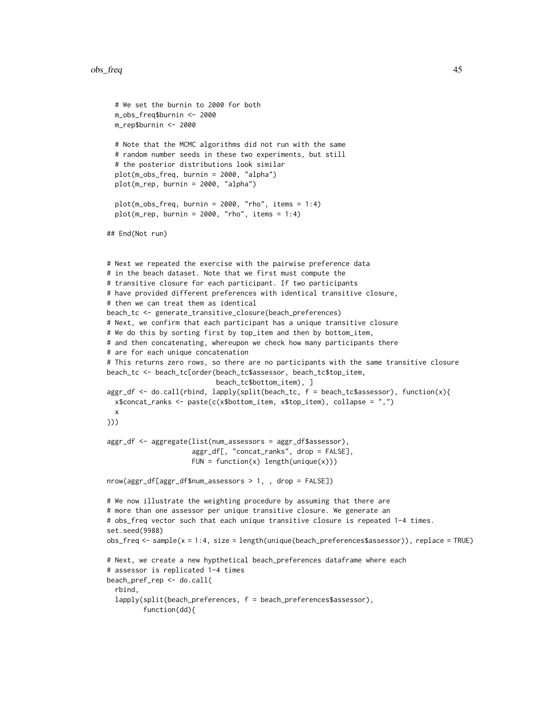```
# We set the burnin to 2000 for both
  m_obs_freq$burnin <- 2000
  m_rep$burnin <- 2000
  # Note that the MCMC algorithms did not run with the same
  # random number seeds in these two experiments, but still
  # the posterior distributions look similar
  plot(m_obs_freq, burnin = 2000, "alpha")
  plot(m_rep, burnin = 2000, "alpha")
  plot(m\_obs\_freq, burnin = 2000, "rho", items = 1:4)plot(m_{rep}, burnin = 2000, "rho", items = 1:4)## End(Not run)
# Next we repeated the exercise with the pairwise preference data
# in the beach dataset. Note that we first must compute the
# transitive closure for each participant. If two participants
# have provided different preferences with identical transitive closure,
# then we can treat them as identical
beach_tc <- generate_transitive_closure(beach_preferences)
# Next, we confirm that each participant has a unique transitive closure
# We do this by sorting first by top_item and then by bottom_item,
# and then concatenating, whereupon we check how many participants there
# are for each unique concatenation
# This returns zero rows, so there are no participants with the same transitive closure
beach_tc <- beach_tc[order(beach_tc$assessor, beach_tc$top_item,
                           beach_tc$bottom_item), ]
aggr_df <- do.call(rbind, lapply(split(beach_tc, f = beach_tc$assessor), function(x){
  x$concat_ranks <- paste(c(x$bottom_item, x$top_item), collapse = ",")
  x
}))
aggr_df <- aggregate(list(num_assessors = aggr_df$assessor),
                     aggr_df[, "concat_ranks", drop = FALSE],
                     FUN = function(x) length(unique(x)))
nrow(aggr_df[aggr_df$num_assessors > 1, , drop = FALSE])
# We now illustrate the weighting procedure by assuming that there are
# more than one assessor per unique transitive closure. We generate an
# obs_freq vector such that each unique transitive closure is repeated 1-4 times.
set.seed(9988)
obs_freq <- sample(x = 1:4, size = length(unique(beach_preferences$assessor)), replace = TRUE)
# Next, we create a new hypthetical beach_preferences dataframe where each
# assessor is replicated 1-4 times
beach_pref_rep <- do.call(
  rbind,
  lapply(split(beach_preferences, f = beach_preferences$assessor),
         function(dd){
```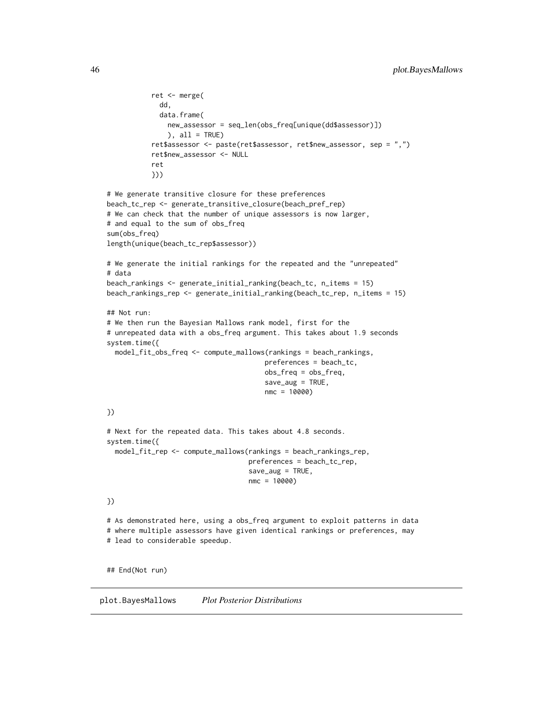```
ret <- merge(
             dd,
             data.frame(
               new_assessor = seq_len(obs_freq[unique(dd$assessor)])
               ), all = TRUEret$assessor <- paste(ret$assessor, ret$new_assessor, sep = ",")
           ret$new_assessor <- NULL
           ret
           }))
# We generate transitive closure for these preferences
beach_tc_rep <- generate_transitive_closure(beach_pref_rep)
# We can check that the number of unique assessors is now larger,
# and equal to the sum of obs_freq
sum(obs_freq)
length(unique(beach_tc_rep$assessor))
# We generate the initial rankings for the repeated and the "unrepeated"
# data
beach_rankings <- generate_initial_ranking(beach_tc, n_items = 15)
beach_rankings_rep <- generate_initial_ranking(beach_tc_rep, n_items = 15)
## Not run:
# We then run the Bayesian Mallows rank model, first for the
# unrepeated data with a obs_freq argument. This takes about 1.9 seconds
system.time({
  model_fit_obs_freq <- compute_mallows(rankings = beach_rankings,
                                       preferences = beach_tc,
                                       obs_freq = obs_freq,
                                       save_aug = TRUE,
                                       nmc = 10000)
})
# Next for the repeated data. This takes about 4.8 seconds.
system.time({
  model_fit_rep <- compute_mallows(rankings = beach_rankings_rep,
                                   preferences = beach_tc_rep,
                                   save_aug = TRUE,nmc = 10000)
})
# As demonstrated here, using a obs_freq argument to exploit patterns in data
# where multiple assessors have given identical rankings or preferences, may
# lead to considerable speedup.
## End(Not run)
```
<span id="page-45-1"></span>plot.BayesMallows *Plot Posterior Distributions*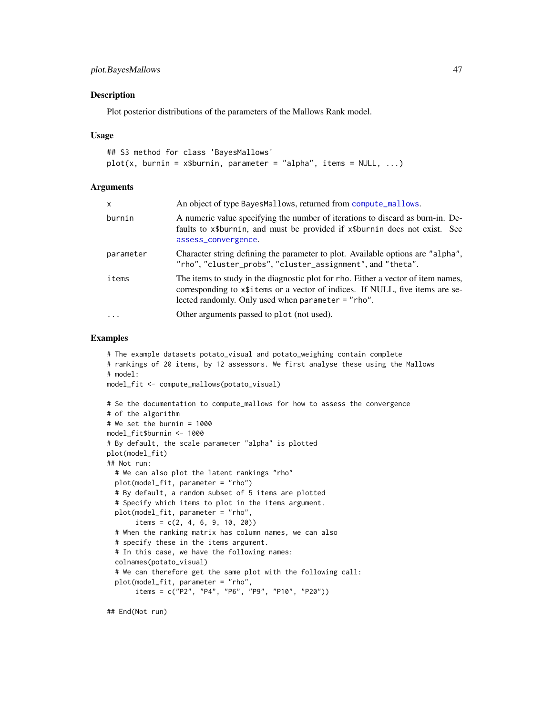## <span id="page-46-0"></span>plot.BayesMallows 47

#### **Description**

Plot posterior distributions of the parameters of the Mallows Rank model.

#### Usage

```
## S3 method for class 'BayesMallows'
plot(x, burnin = x$burnin, parameter = "alpha", items = NULL, ...)
```
#### Arguments

| X         | An object of type BayesMallows, returned from compute_mallows.                                                                                                                                                               |
|-----------|------------------------------------------------------------------------------------------------------------------------------------------------------------------------------------------------------------------------------|
| burnin    | A numeric value specifying the number of iterations to discard as burn-in. De-<br>faults to x\$burnin, and must be provided if x\$burnin does not exist. See<br>assess_convergence.                                          |
| parameter | Character string defining the parameter to plot. Available options are "alpha",<br>"rho", "cluster_probs", "cluster_assignment", and "theta".                                                                                |
| items     | The items to study in the diagnostic plot for rho. Either a vector of item names,<br>corresponding to x\\$1.1 tems or a vector of indices. If NULL, five items are se-<br>lected randomly. Only used when parameter = "rho". |
| $\cdot$   | Other arguments passed to plot (not used).                                                                                                                                                                                   |

#### Examples

```
# The example datasets potato_visual and potato_weighing contain complete
# rankings of 20 items, by 12 assessors. We first analyse these using the Mallows
# model:
model_fit <- compute_mallows(potato_visual)
# Se the documentation to compute_mallows for how to assess the convergence
# of the algorithm
# We set the burnin = 1000
model_fit$burnin <- 1000
# By default, the scale parameter "alpha" is plotted
plot(model_fit)
## Not run:
  # We can also plot the latent rankings "rho"
  plot(model_fit, parameter = "rho")
  # By default, a random subset of 5 items are plotted
  # Specify which items to plot in the items argument.
  plot(model_fit, parameter = "rho",
       items = c(2, 4, 6, 9, 10, 20)# When the ranking matrix has column names, we can also
  # specify these in the items argument.
  # In this case, we have the following names:
  colnames(potato_visual)
  # We can therefore get the same plot with the following call:
  plot(model_fit, parameter = "rho",
       items = c("P2", "P4", "P6", "P9", "P10", "P20"))
```
## End(Not run)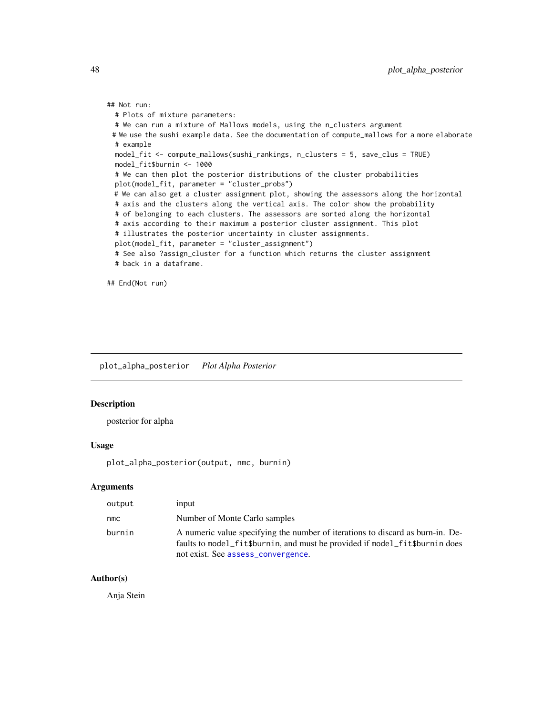```
## Not run:
 # Plots of mixture parameters:
 # We can run a mixture of Mallows models, using the n_clusters argument
 # We use the sushi example data. See the documentation of compute_mallows for a more elaborate
 # example
 model_fit <- compute_mallows(sushi_rankings, n_clusters = 5, save_clus = TRUE)
 model_fit$burnin <- 1000
 # We can then plot the posterior distributions of the cluster probabilities
 plot(model_fit, parameter = "cluster_probs")
 # We can also get a cluster assignment plot, showing the assessors along the horizontal
 # axis and the clusters along the vertical axis. The color show the probability
 # of belonging to each clusters. The assessors are sorted along the horizontal
 # axis according to their maximum a posterior cluster assignment. This plot
 # illustrates the posterior uncertainty in cluster assignments.
 plot(model_fit, parameter = "cluster_assignment")
 # See also ?assign_cluster for a function which returns the cluster assignment
 # back in a dataframe.
```
## End(Not run)

plot\_alpha\_posterior *Plot Alpha Posterior*

#### Description

posterior for alpha

#### Usage

plot\_alpha\_posterior(output, nmc, burnin)

## Arguments

| output | input                                                                                                                                                                                               |
|--------|-----------------------------------------------------------------------------------------------------------------------------------------------------------------------------------------------------|
| nmc    | Number of Monte Carlo samples                                                                                                                                                                       |
| burnin | A numeric value specifying the number of iterations to discard as burn-in. De-<br>faults to model_fit\$burnin, and must be provided if model_fit\$burnin does<br>not exist. See assess_convergence. |

## Author(s)

Anja Stein

<span id="page-47-0"></span>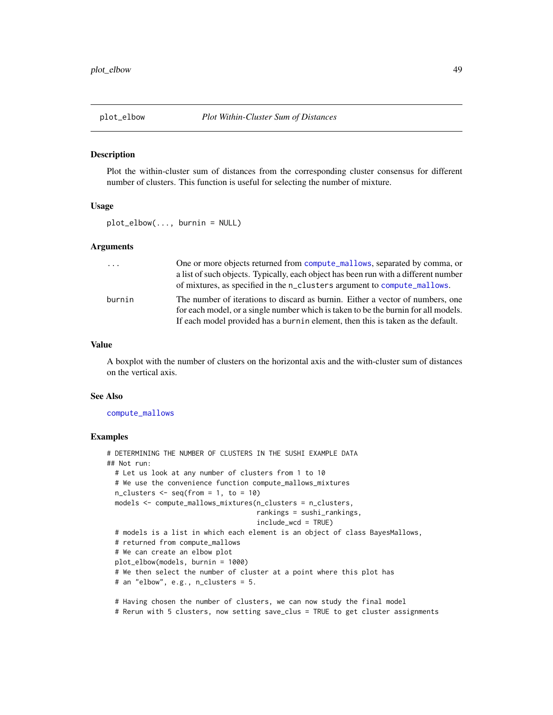<span id="page-48-1"></span><span id="page-48-0"></span>

#### Description

Plot the within-cluster sum of distances from the corresponding cluster consensus for different number of clusters. This function is useful for selecting the number of mixture.

#### Usage

plot\_elbow(..., burnin = NULL)

#### Arguments

| $\cdot$ | One or more objects returned from compute_mallows, separated by comma, or           |
|---------|-------------------------------------------------------------------------------------|
|         | a list of such objects. Typically, each object has been run with a different number |
|         | of mixtures, as specified in the n_clusters argument to compute_mallows.            |
| burnin  | The number of iterations to discard as burnin. Either a vector of numbers, one      |
|         | for each model, or a single number which is taken to be the burnin for all models.  |
|         | If each model provided has a burnin element, then this is taken as the default.     |

## Value

A boxplot with the number of clusters on the horizontal axis and the with-cluster sum of distances on the vertical axis.

#### See Also

[compute\\_mallows](#page-10-1)

```
# DETERMINING THE NUMBER OF CLUSTERS IN THE SUSHI EXAMPLE DATA
## Not run:
 # Let us look at any number of clusters from 1 to 10
 # We use the convenience function compute_mallows_mixtures
 n_{\text{clusters}} \leftarrow \text{seq}(\text{from} = 1, \text{to} = 10)models <- compute_mallows_mixtures(n_clusters = n_clusters,
                                      rankings = sushi_rankings,
                                      include_wcd = TRUE)
 # models is a list in which each element is an object of class BayesMallows,
 # returned from compute_mallows
 # We can create an elbow plot
 plot_elbow(models, burnin = 1000)
 # We then select the number of cluster at a point where this plot has
 # an "elbow", e.g., n_clusters = 5.
 # Having chosen the number of clusters, we can now study the final model
 # Rerun with 5 clusters, now setting save_clus = TRUE to get cluster assignments
```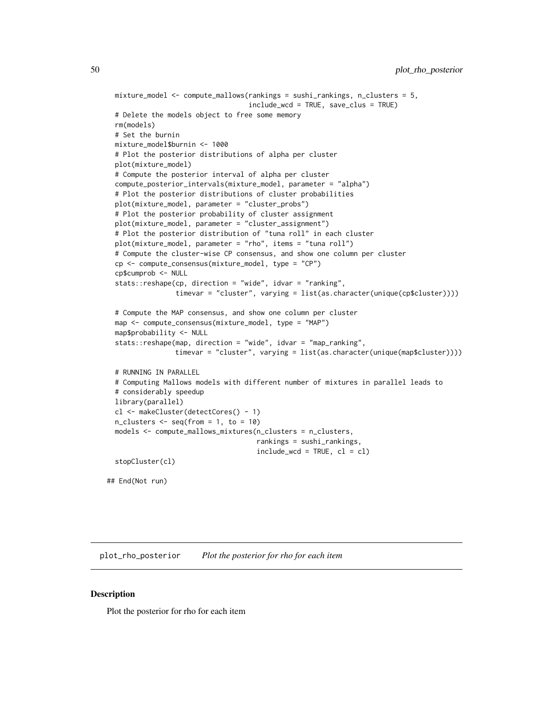```
mixture_model <- compute_mallows(rankings = sushi_rankings, n_clusters = 5,
                                  include_wcd = TRUE, save_clus = TRUE)
# Delete the models object to free some memory
rm(models)
# Set the burnin
mixture_model$burnin <- 1000
# Plot the posterior distributions of alpha per cluster
plot(mixture_model)
# Compute the posterior interval of alpha per cluster
compute_posterior_intervals(mixture_model, parameter = "alpha")
# Plot the posterior distributions of cluster probabilities
plot(mixture_model, parameter = "cluster_probs")
# Plot the posterior probability of cluster assignment
plot(mixture_model, parameter = "cluster_assignment")
# Plot the posterior distribution of "tuna roll" in each cluster
plot(mixture_model, parameter = "rho", items = "tuna roll")
# Compute the cluster-wise CP consensus, and show one column per cluster
cp <- compute_consensus(mixture_model, type = "CP")
cp$cumprob <- NULL
stats::reshape(cp, direction = "wide", idvar = "ranking",
               timevar = "cluster", varying = list(as.character(unique(cp$cluster))))
# Compute the MAP consensus, and show one column per cluster
map <- compute_consensus(mixture_model, type = "MAP")
map$probability <- NULL
stats::reshape(map, direction = "wide", idvar = "map_ranking",
               timevar = "cluster", varying = list(as.character(unique(map$cluster))))
# RUNNING IN PARALLEL
# Computing Mallows models with different number of mixtures in parallel leads to
# considerably speedup
library(parallel)
cl <- makeCluster(detectCores() - 1)
n_{\text{clusters}} \leftarrow \text{seq}(\text{from} = 1, \text{to} = 10)models <- compute_mallows_mixtures(n_clusters = n_clusters,
                                    rankings = sushi_rankings,
                                    include\_wcd = TRUE, cl = clstopCluster(cl)
```
## End(Not run)

plot\_rho\_posterior *Plot the posterior for rho for each item*

## Description

Plot the posterior for rho for each item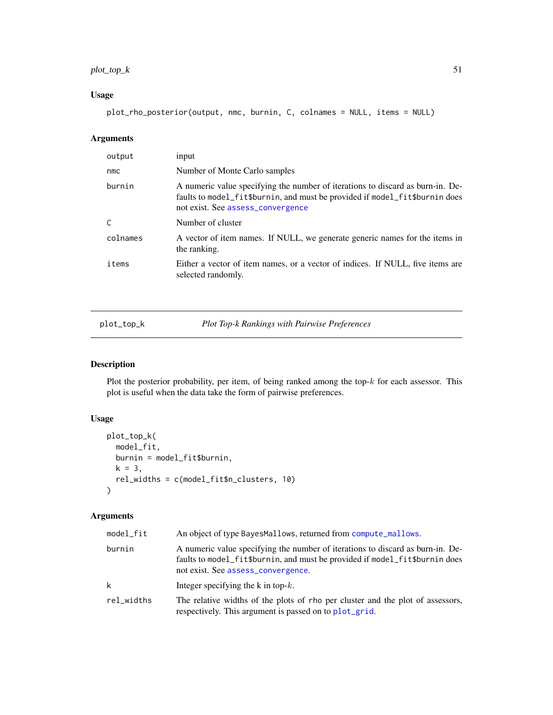## <span id="page-50-0"></span> $plot\_top_k$  51

## Usage

plot\_rho\_posterior(output, nmc, burnin, C, colnames = NULL, items = NULL)

## Arguments

| output   | input                                                                                                                                                                                              |
|----------|----------------------------------------------------------------------------------------------------------------------------------------------------------------------------------------------------|
| nmc      | Number of Monte Carlo samples                                                                                                                                                                      |
| burnin   | A numeric value specifying the number of iterations to discard as burn-in. De-<br>faults to model_fit\$burnin, and must be provided if model_fit\$burnin does<br>not exist. See assess_convergence |
| C        | Number of cluster                                                                                                                                                                                  |
| colnames | A vector of item names. If NULL, we generate generic names for the items in<br>the ranking.                                                                                                        |
| items    | Either a vector of item names, or a vector of indices. If NULL, five items are<br>selected randomly.                                                                                               |

<span id="page-50-1"></span>plot\_top\_k *Plot Top-k Rankings with Pairwise Preferences*

## Description

Plot the posterior probability, per item, of being ranked among the top- $k$  for each assessor. This plot is useful when the data take the form of pairwise preferences.

## Usage

```
plot_top_k(
 model_fit,
 burnin = model_fit$burnin,
 k = 3,rel_widths = c(model_fit$n_clusters, 10)
)
```
## Arguments

| model_fit  | An object of type BayesMallows, returned from compute_mallows.                                                                                                                                      |
|------------|-----------------------------------------------------------------------------------------------------------------------------------------------------------------------------------------------------|
| burnin     | A numeric value specifying the number of iterations to discard as burn-in. De-<br>faults to model_fit\$burnin, and must be provided if model_fit\$burnin does<br>not exist. See assess_convergence. |
| k          | Integer specifying the k in top- $k$ .                                                                                                                                                              |
| rel_widths | The relative widths of the plots of rho per cluster and the plot of assessors,<br>respectively. This argument is passed on to plot_grid.                                                            |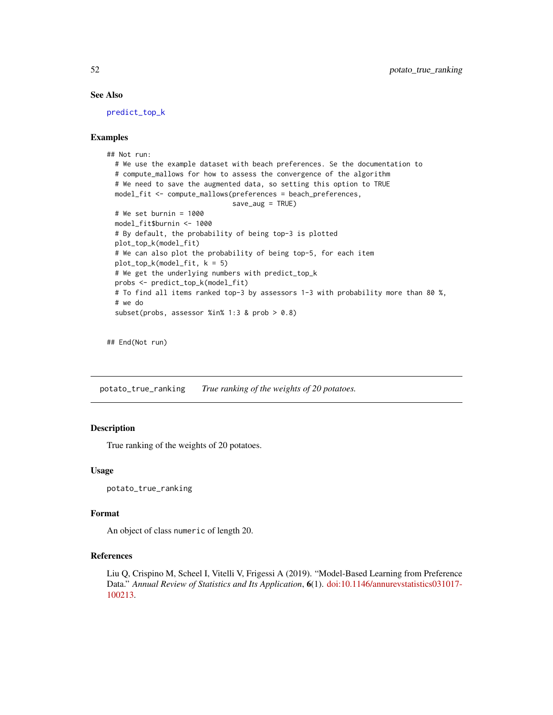## See Also

[predict\\_top\\_k](#page-53-1)

#### Examples

```
## Not run:
 # We use the example dataset with beach preferences. Se the documentation to
 # compute_mallows for how to assess the convergence of the algorithm
 # We need to save the augmented data, so setting this option to TRUE
 model_fit <- compute_mallows(preferences = beach_preferences,
                               save_aug = TRUE)
 # We set burnin = 1000
 model_fit$burnin <- 1000
 # By default, the probability of being top-3 is plotted
 plot_top_k(model_fit)
 # We can also plot the probability of being top-5, for each item
 plot_top_k(model_fit, k = 5)
 # We get the underlying numbers with predict_top_k
 probs <- predict_top_k(model_fit)
 # To find all items ranked top-3 by assessors 1-3 with probability more than 80 %,
 # we do
 subset(probs, assessor %in% 1:3 & prob > 0.8)
```
## End(Not run)

potato\_true\_ranking *True ranking of the weights of 20 potatoes.*

#### **Description**

True ranking of the weights of 20 potatoes.

#### Usage

potato\_true\_ranking

#### Format

An object of class numeric of length 20.

## References

Liu Q, Crispino M, Scheel I, Vitelli V, Frigessi A (2019). "Model-Based Learning from Preference Data." *Annual Review of Statistics and Its Application*, 6(1). [doi:10.1146/annurevstatistics031017-](https://doi.org/10.1146/annurev-statistics-031017-100213) [100213.](https://doi.org/10.1146/annurev-statistics-031017-100213)

<span id="page-51-0"></span>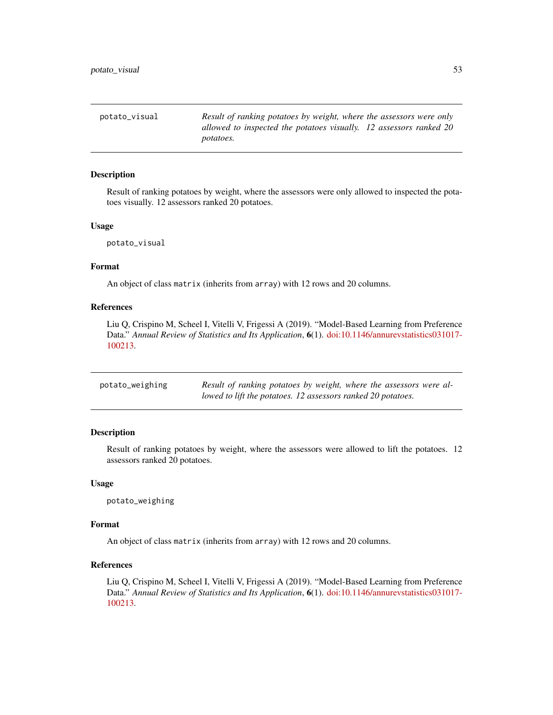<span id="page-52-0"></span>potato\_visual *Result of ranking potatoes by weight, where the assessors were only allowed to inspected the potatoes visually. 12 assessors ranked 20 potatoes.*

#### Description

Result of ranking potatoes by weight, where the assessors were only allowed to inspected the potatoes visually. 12 assessors ranked 20 potatoes.

#### Usage

potato\_visual

#### Format

An object of class matrix (inherits from array) with 12 rows and 20 columns.

#### References

Liu Q, Crispino M, Scheel I, Vitelli V, Frigessi A (2019). "Model-Based Learning from Preference Data." *Annual Review of Statistics and Its Application*, 6(1). [doi:10.1146/annurevstatistics031017-](https://doi.org/10.1146/annurev-statistics-031017-100213) [100213.](https://doi.org/10.1146/annurev-statistics-031017-100213)

| potato_weighing | Result of ranking potatoes by weight, where the assessors were al- |
|-----------------|--------------------------------------------------------------------|
|                 | lowed to lift the potatoes. 12 assessors ranked 20 potatoes.       |

#### Description

Result of ranking potatoes by weight, where the assessors were allowed to lift the potatoes. 12 assessors ranked 20 potatoes.

#### Usage

potato\_weighing

#### Format

An object of class matrix (inherits from array) with 12 rows and 20 columns.

## References

Liu Q, Crispino M, Scheel I, Vitelli V, Frigessi A (2019). "Model-Based Learning from Preference Data." *Annual Review of Statistics and Its Application*, 6(1). [doi:10.1146/annurevstatistics031017-](https://doi.org/10.1146/annurev-statistics-031017-100213) [100213.](https://doi.org/10.1146/annurev-statistics-031017-100213)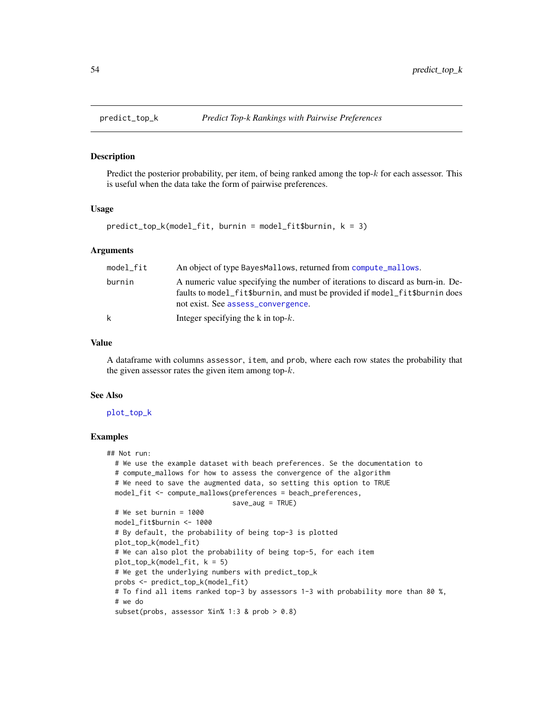<span id="page-53-1"></span><span id="page-53-0"></span>

#### Description

Predict the posterior probability, per item, of being ranked among the top- $k$  for each assessor. This is useful when the data take the form of pairwise preferences.

#### Usage

predict\_top\_k(model\_fit, burnin = model\_fit\$burnin, k = 3)

#### Arguments

| model fit | An object of type BayesMallows, returned from compute_mallows.                                                                                                                                      |
|-----------|-----------------------------------------------------------------------------------------------------------------------------------------------------------------------------------------------------|
| burnin    | A numeric value specifying the number of iterations to discard as burn-in. De-<br>faults to model fit\$burnin, and must be provided if model fit\$burnin does<br>not exist. See assess_convergence. |
| k         | Integer specifying the k in top- $k$ .                                                                                                                                                              |

#### Value

A dataframe with columns assessor, item, and prob, where each row states the probability that the given assessor rates the given item among top- $k$ .

#### See Also

#### [plot\\_top\\_k](#page-50-1)

```
## Not run:
 # We use the example dataset with beach preferences. Se the documentation to
 # compute_mallows for how to assess the convergence of the algorithm
 # We need to save the augmented data, so setting this option to TRUE
 model_fit <- compute_mallows(preferences = beach_preferences,
                               save_aug = TRUE)
 # We set burnin = 1000
 model_fit$burnin <- 1000
 # By default, the probability of being top-3 is plotted
 plot_top_k(model_fit)
 # We can also plot the probability of being top-5, for each item
 plot_top_k(model_fit, k = 5)
 # We get the underlying numbers with predict_top_k
 probs <- predict_top_k(model_fit)
 # To find all items ranked top-3 by assessors 1-3 with probability more than 80 %,
 # we do
 subset(probs, assessor %in% 1:3 & prob > 0.8)
```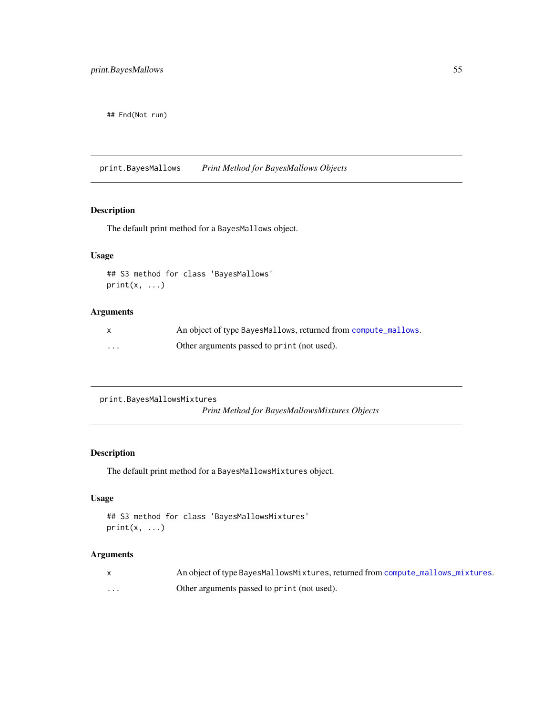<span id="page-54-0"></span>## End(Not run)

print.BayesMallows *Print Method for BayesMallows Objects*

## Description

The default print method for a BayesMallows object.

## Usage

```
## S3 method for class 'BayesMallows'
print(x, \ldots)
```
## Arguments

|          | An object of type BayesMallows, returned from compute_mallows. |
|----------|----------------------------------------------------------------|
| $\cdots$ | Other arguments passed to print (not used).                    |

```
print.BayesMallowsMixtures
```
*Print Method for BayesMallowsMixtures Objects*

## Description

The default print method for a BayesMallowsMixtures object.

## Usage

```
## S3 method for class 'BayesMallowsMixtures'
print(x, \ldots)
```
## Arguments

|   | An object of type BayesMallowsMixtures, returned from compute_mallows_mixtures. |
|---|---------------------------------------------------------------------------------|
| . | Other arguments passed to print (not used).                                     |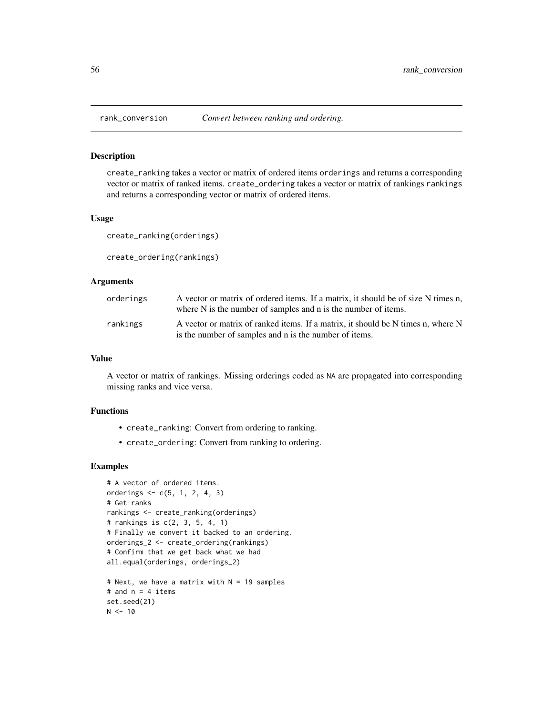<span id="page-55-0"></span>

#### <span id="page-55-1"></span>Description

create\_ranking takes a vector or matrix of ordered items orderings and returns a corresponding vector or matrix of ranked items. create\_ordering takes a vector or matrix of rankings rankings and returns a corresponding vector or matrix of ordered items.

#### Usage

create\_ranking(orderings)

create\_ordering(rankings)

#### Arguments

| orderings | A vector or matrix of ordered items. If a matrix, it should be of size N times n,<br>where N is the number of samples and n is the number of items. |
|-----------|-----------------------------------------------------------------------------------------------------------------------------------------------------|
| rankings  | A vector or matrix of ranked items. If a matrix, it should be N times n, where N<br>is the number of samples and n is the number of items.          |

#### Value

A vector or matrix of rankings. Missing orderings coded as NA are propagated into corresponding missing ranks and vice versa.

## Functions

- create\_ranking: Convert from ordering to ranking.
- create\_ordering: Convert from ranking to ordering.

```
# A vector of ordered items.
orderings <- c(5, 1, 2, 4, 3)
# Get ranks
rankings <- create_ranking(orderings)
# rankings is c(2, 3, 5, 4, 1)
# Finally we convert it backed to an ordering.
orderings_2 <- create_ordering(rankings)
# Confirm that we get back what we had
all.equal(orderings, orderings_2)
# Next, we have a matrix with N = 19 samples
# and n = 4 items
set.seed(21)
N < -10
```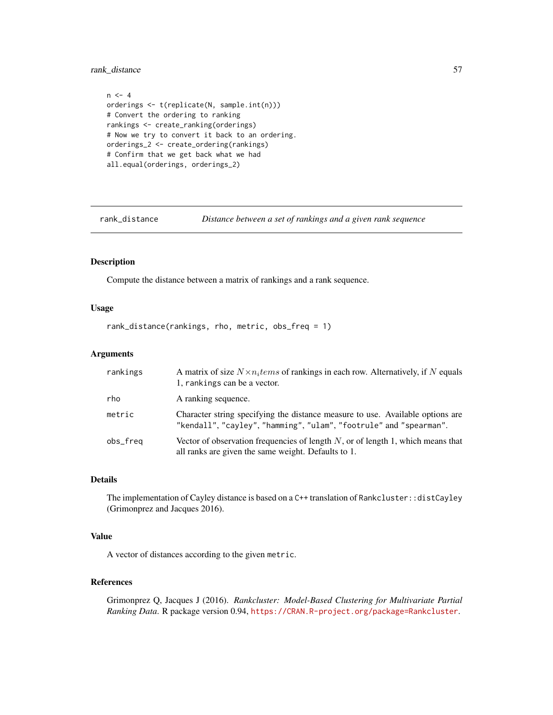<span id="page-56-0"></span>rank\_distance 57

```
n < -4orderings <- t(replicate(N, sample.int(n)))
# Convert the ordering to ranking
rankings <- create_ranking(orderings)
# Now we try to convert it back to an ordering.
orderings_2 <- create_ordering(rankings)
# Confirm that we get back what we had
all.equal(orderings, orderings_2)
```
rank\_distance *Distance between a set of rankings and a given rank sequence*

## Description

Compute the distance between a matrix of rankings and a rank sequence.

## Usage

rank\_distance(rankings, rho, metric, obs\_freq = 1)

## Arguments

| rankings | A matrix of size $N \times n_i$ tems of rankings in each row. Alternatively, if N equals<br>1, rankings can be a vector.                             |
|----------|------------------------------------------------------------------------------------------------------------------------------------------------------|
| rho      | A ranking sequence.                                                                                                                                  |
| metric   | Character string specifying the distance measure to use. Available options are<br>"kendall", "cayley", "hamming", "ulam", "footrule" and "spearman". |
| obs_freq | Vector of observation frequencies of length $N$ , or of length 1, which means that<br>all ranks are given the same weight. Defaults to 1.            |

## Details

The implementation of Cayley distance is based on a C++ translation of Rankcluster: :distCayley (Grimonprez and Jacques 2016).

## Value

A vector of distances according to the given metric.

## References

Grimonprez Q, Jacques J (2016). *Rankcluster: Model-Based Clustering for Multivariate Partial Ranking Data*. R package version 0.94, <https://CRAN.R-project.org/package=Rankcluster>.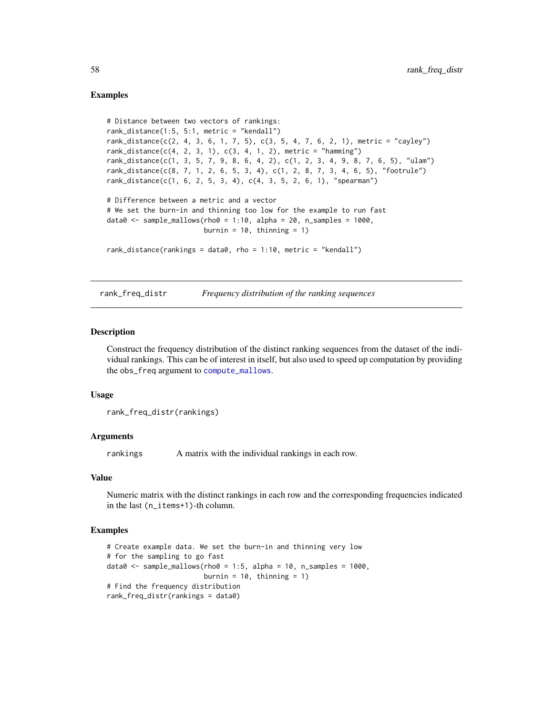#### Examples

```
# Distance between two vectors of rankings:
rank_distance(1:5, 5:1, metric = "kendall")
rank_distance(c(2, 4, 3, 6, 1, 7, 5), c(3, 5, 4, 7, 6, 2, 1), metric = "cayley")
rank_distance(c(4, 2, 3, 1), c(3, 4, 1, 2), metric = "hamming")
rank_distance(c(1, 3, 5, 7, 9, 8, 6, 4, 2), c(1, 2, 3, 4, 9, 8, 7, 6, 5), "ulam")
rank_distance(c(8, 7, 1, 2, 6, 5, 3, 4), c(1, 2, 8, 7, 3, 4, 6, 5), "footrule")
rank_distance(c(1, 6, 2, 5, 3, 4), c(4, 3, 5, 2, 6, 1), "spearman")
# Difference between a metric and a vector
# We set the burn-in and thinning too low for the example to run fast
data0 \leq - sample_mallows(rho0 = 1:10, alpha = 20, n_samples = 1000,
                       burnin = 10, thinning = 1)
rank_distance(rankings = data0, rho = 1:10, metric = "kendall")
```
<span id="page-57-1"></span>rank\_freq\_distr *Frequency distribution of the ranking sequences*

### **Description**

Construct the frequency distribution of the distinct ranking sequences from the dataset of the individual rankings. This can be of interest in itself, but also used to speed up computation by providing the obs\_freq argument to [compute\\_mallows](#page-10-1).

#### Usage

rank\_freq\_distr(rankings)

## Arguments

rankings A matrix with the individual rankings in each row.

#### Value

Numeric matrix with the distinct rankings in each row and the corresponding frequencies indicated in the last (n\_items+1)-th column.

```
# Create example data. We set the burn-in and thinning very low
# for the sampling to go fast
data0 \leq - sample_mallows(rho0 = 1:5, alpha = 10, n_samples = 1000,
                        burnin = 10, thinning = 1)
# Find the frequency distribution
rank_freq_distr(rankings = data0)
```
<span id="page-57-0"></span>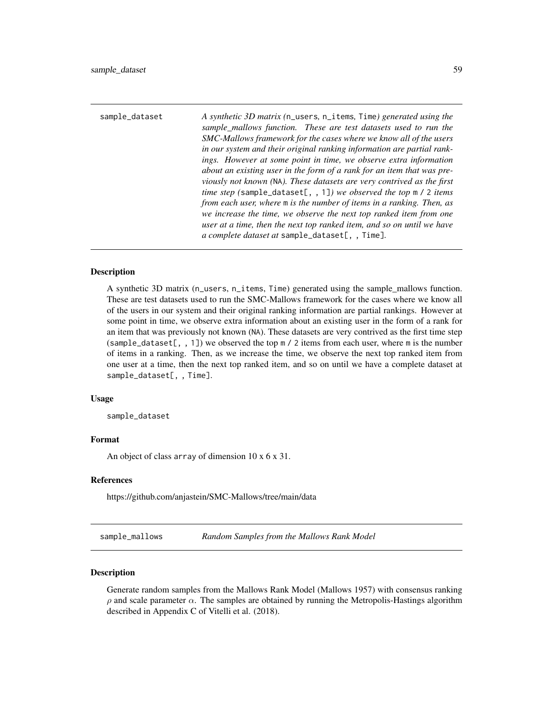<span id="page-58-0"></span>

| sample_dataset | A synthetic 3D matrix (n_users, n_items, Time) generated using the<br>sample_mallows function. These are test datasets used to run the<br>SMC-Mallows framework for the cases where we know all of the users<br>in our system and their original ranking information are partial rank-<br>ings. However at some point in time, we observe extra information<br>about an existing user in the form of a rank for an item that was pre-<br>viously not known (NA). These datasets are very contrived as the first<br>time step (sample_dataset[, , 1]) we observed the top $m / 2$ items<br>from each user, where m is the number of items in a ranking. Then, as<br>we increase the time, we observe the next top ranked item from one<br>user at a time, then the next top ranked item, and so on until we have |
|----------------|-----------------------------------------------------------------------------------------------------------------------------------------------------------------------------------------------------------------------------------------------------------------------------------------------------------------------------------------------------------------------------------------------------------------------------------------------------------------------------------------------------------------------------------------------------------------------------------------------------------------------------------------------------------------------------------------------------------------------------------------------------------------------------------------------------------------|
|                | $a$ complete dataset at sample_dataset[, , Time].                                                                                                                                                                                                                                                                                                                                                                                                                                                                                                                                                                                                                                                                                                                                                               |

#### Description

A synthetic 3D matrix (n\_users, n\_items, Time) generated using the sample\_mallows function. These are test datasets used to run the SMC-Mallows framework for the cases where we know all of the users in our system and their original ranking information are partial rankings. However at some point in time, we observe extra information about an existing user in the form of a rank for an item that was previously not known (NA). These datasets are very contrived as the first time step (sample\_dataset[,, 1]) we observed the top  $m / 2$  items from each user, where m is the number of items in a ranking. Then, as we increase the time, we observe the next top ranked item from one user at a time, then the next top ranked item, and so on until we have a complete dataset at sample\_dataset[, , Time].

#### Usage

sample\_dataset

#### Format

An object of class array of dimension 10 x 6 x 31.

#### References

https://github.com/anjastein/SMC-Mallows/tree/main/data

sample\_mallows *Random Samples from the Mallows Rank Model*

## Description

Generate random samples from the Mallows Rank Model (Mallows 1957) with consensus ranking  $\rho$  and scale parameter  $\alpha$ . The samples are obtained by running the Metropolis-Hastings algorithm described in Appendix C of Vitelli et al. (2018).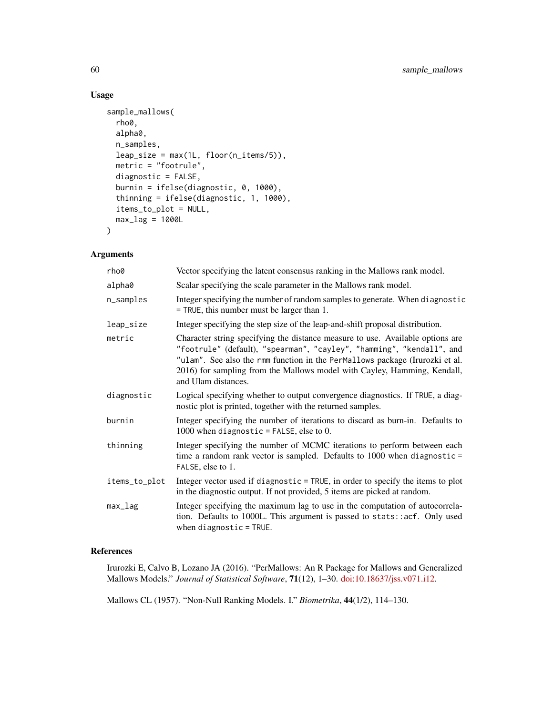## Usage

```
sample_mallows(
  rho0,
  alpha0,
 n_samples,
  leap_size = max(1L, floor(n_items/5)),
 metric = "footrule",
 diagnostic = FALSE,
 burnin = ifelse(diagnostic, 0, 1000),
  thinning = ifelse(diagnostic, 1, 1000),
  items_to_plot = NULL,
 max_lag = 1000L
\mathcal{L}
```
## Arguments

| rho0          | Vector specifying the latent consensus ranking in the Mallows rank model.                                                                                                                                                                                                                                                                  |
|---------------|--------------------------------------------------------------------------------------------------------------------------------------------------------------------------------------------------------------------------------------------------------------------------------------------------------------------------------------------|
| alpha0        | Scalar specifying the scale parameter in the Mallows rank model.                                                                                                                                                                                                                                                                           |
| n_samples     | Integer specifying the number of random samples to generate. When diagnostic<br>$=$ TRUE, this number must be larger than 1.                                                                                                                                                                                                               |
| leap_size     | Integer specifying the step size of the leap-and-shift proposal distribution.                                                                                                                                                                                                                                                              |
| metric        | Character string specifying the distance measure to use. Available options are<br>"footrule" (default), "spearman", "cayley", "hamming", "kendall", and<br>"ulam". See also the rmm function in the PerMallows package (Irurozki et al.<br>2016) for sampling from the Mallows model with Cayley, Hamming, Kendall,<br>and Ulam distances. |
| diagnostic    | Logical specifying whether to output convergence diagnostics. If TRUE, a diag-<br>nostic plot is printed, together with the returned samples.                                                                                                                                                                                              |
| burnin        | Integer specifying the number of iterations to discard as burn-in. Defaults to<br>1000 when diagnostic = FALSE, else to 0.                                                                                                                                                                                                                 |
| thinning      | Integer specifying the number of MCMC iterations to perform between each<br>time a random rank vector is sampled. Defaults to $1000$ when diagnostic =<br>FALSE, else to 1.                                                                                                                                                                |
| items_to_plot | Integer vector used if diagnostic = TRUE, in order to specify the items to plot<br>in the diagnostic output. If not provided, 5 items are picked at random.                                                                                                                                                                                |
| max_lag       | Integer specifying the maximum lag to use in the computation of autocorrela-<br>tion. Defaults to 1000L. This argument is passed to stats::acf. Only used<br>when diagnostic = $TRUE$ .                                                                                                                                                    |

## References

Irurozki E, Calvo B, Lozano JA (2016). "PerMallows: An R Package for Mallows and Generalized Mallows Models." *Journal of Statistical Software*, 71(12), 1–30. [doi:10.18637/jss.v071.i12.](https://doi.org/10.18637/jss.v071.i12)

Mallows CL (1957). "Non-Null Ranking Models. I." *Biometrika*, 44(1/2), 114–130.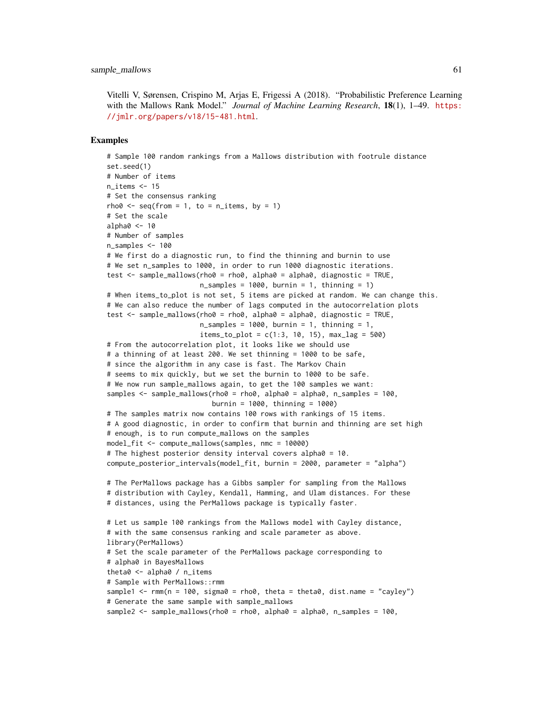Vitelli V, Sørensen, Crispino M, Arjas E, Frigessi A (2018). "Probabilistic Preference Learning with the Mallows Rank Model." *Journal of Machine Learning Research*, 18(1), 1–49. [https:](https://jmlr.org/papers/v18/15-481.html) [//jmlr.org/papers/v18/15-481.html](https://jmlr.org/papers/v18/15-481.html).

```
# Sample 100 random rankings from a Mallows distribution with footrule distance
set.seed(1)
# Number of items
n items <-15# Set the consensus ranking
rho0 \leq -seq(from = 1, to = n_interest), by = 1)
# Set the scale
alpha0 < -10# Number of samples
n_samples <- 100
# We first do a diagnostic run, to find the thinning and burnin to use
# We set n_samples to 1000, in order to run 1000 diagnostic iterations.
test \le sample_mallows(rho0 = rho0, alpha0 = alpha0, diagnostic = TRUE,
                       n_samples = 1000, burnin = 1, thinning = 1)
# When items_to_plot is not set, 5 items are picked at random. We can change this.
# We can also reduce the number of lags computed in the autocorrelation plots
test \leq sample_mallows(rho0 = rho0, alpha0 = alpha0, diagnostic = TRUE,
                       n_samples = 1000, burnin = 1, thinning = 1,
                       items_to.plot = c(1:3, 10, 15), maxy2ag = 500# From the autocorrelation plot, it looks like we should use
# a thinning of at least 200. We set thinning = 1000 to be safe,
# since the algorithm in any case is fast. The Markov Chain
# seems to mix quickly, but we set the burnin to 1000 to be safe.
# We now run sample_mallows again, to get the 100 samples we want:
samples <- sample_mallows(rho0 = rho0, alpha0 = alpha0, n_samples = 100,
                          burnin = 1000, thinning = 1000)
# The samples matrix now contains 100 rows with rankings of 15 items.
# A good diagnostic, in order to confirm that burnin and thinning are set high
# enough, is to run compute_mallows on the samples
model_fit <- compute_mallows(samples, nmc = 10000)
# The highest posterior density interval covers alpha0 = 10.
compute_posterior_intervals(model_fit, burnin = 2000, parameter = "alpha")
# The PerMallows package has a Gibbs sampler for sampling from the Mallows
# distribution with Cayley, Kendall, Hamming, and Ulam distances. For these
# distances, using the PerMallows package is typically faster.
# Let us sample 100 rankings from the Mallows model with Cayley distance,
# with the same consensus ranking and scale parameter as above.
library(PerMallows)
# Set the scale parameter of the PerMallows package corresponding to
# alpha0 in BayesMallows
theta0 <- alpha0 / n_items
# Sample with PerMallows::rmm
sample1 <- rmm(n = 100, sigma0 = rho0, theta = theta0, dist.name = "cayley")
# Generate the same sample with sample_mallows
sample2 <- sample_mallows(rho0 = rho0, alpha0 = alpha0, n_samples = 100,
```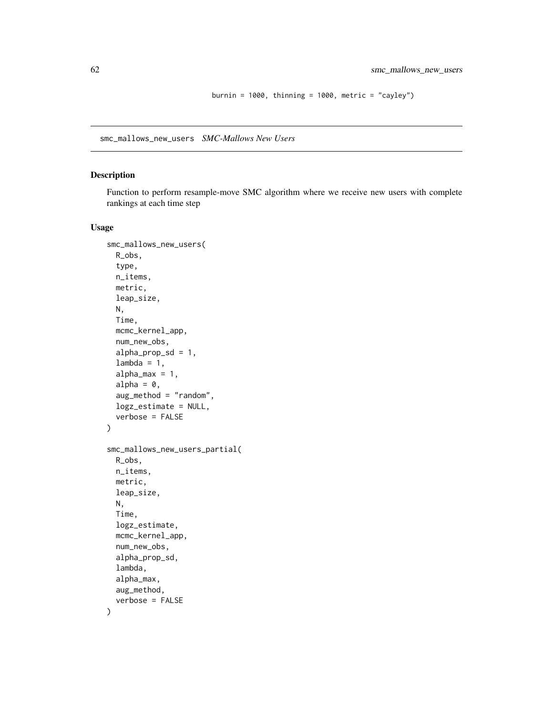burnin =  $1000$ , thinning =  $1000$ , metric = "cayley")

<span id="page-61-0"></span>smc\_mallows\_new\_users *SMC-Mallows New Users*

### Description

Function to perform resample-move SMC algorithm where we receive new users with complete rankings at each time step

#### Usage

```
smc_mallows_new_users(
 R_obs,
  type,
 n_items,
 metric,
 leap_size,
 N,
 Time,
 mcmc_kernel_app,
 num_new_obs,
  alpha\_prop\_sd = 1,
  lambda = 1,
  alpha_{max} = 1,
  alpha = 0,
  aug_method = "random",
  logz_estimate = NULL,
  verbose = FALSE
)
smc_mallows_new_users_partial(
 R_obs,
 n_items,
 metric,
 leap_size,
 N,
 Time,
 logz_estimate,
 mcmc_kernel_app,
 num_new_obs,
  alpha_prop_sd,
  lambda,
  alpha_max,
 aug_method,
  verbose = FALSE
\mathcal{E}
```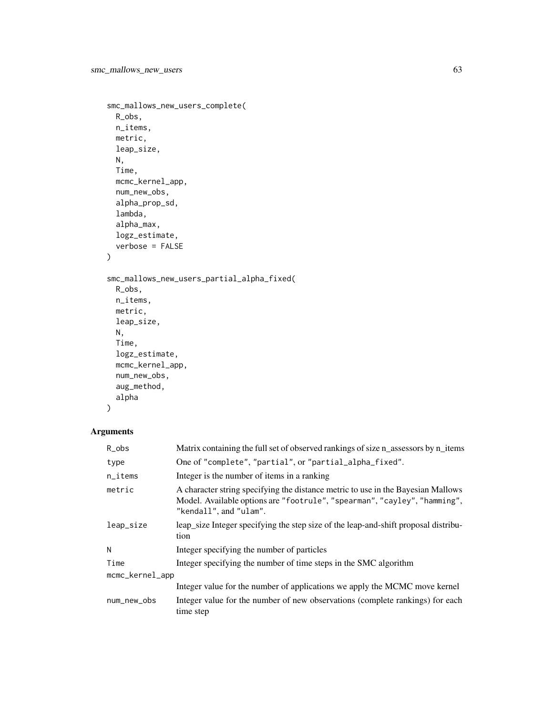```
smc_mallows_new_users_complete(
 R_obs,
 n_items,
 metric,
 leap_size,
 N,
 Time,
 mcmc_kernel_app,
 num_new_obs,
 alpha_prop_sd,
 lambda,
 alpha_max,
 logz_estimate,
 verbose = FALSE
)
smc_mallows_new_users_partial_alpha_fixed(
 R_obs,
 n_items,
 metric,
 leap_size,
 N,
 Time,
 logz_estimate,
 mcmc_kernel_app,
 num_new_obs,
 aug_method,
 alpha
```

```
\mathcal{L}
```
## Arguments

| $R_{obs}$              | Matrix containing the full set of observed rankings of size n_assessors by n_items                                                                                                      |  |
|------------------------|-----------------------------------------------------------------------------------------------------------------------------------------------------------------------------------------|--|
| type                   | One of "complete", "partial", or "partial_alpha_fixed".                                                                                                                                 |  |
| $n$ <sub>_i</sub> tems | Integer is the number of items in a ranking                                                                                                                                             |  |
| metric                 | A character string specifying the distance metric to use in the Bayesian Mallows<br>Model. Available options are "footrule", "spearman", "cayley", "hamming",<br>"kendall", and "ulam". |  |
| leap_size              | leap size Integer specifying the step size of the leap-and-shift proposal distribu-<br>tion                                                                                             |  |
| N                      | Integer specifying the number of particles                                                                                                                                              |  |
| Time                   | Integer specifying the number of time steps in the SMC algorithm                                                                                                                        |  |
| mcmc_kernel_app        |                                                                                                                                                                                         |  |
|                        | Integer value for the number of applications we apply the MCMC move kernel                                                                                                              |  |
| num_new_obs            | Integer value for the number of new observations (complete rankings) for each<br>time step                                                                                              |  |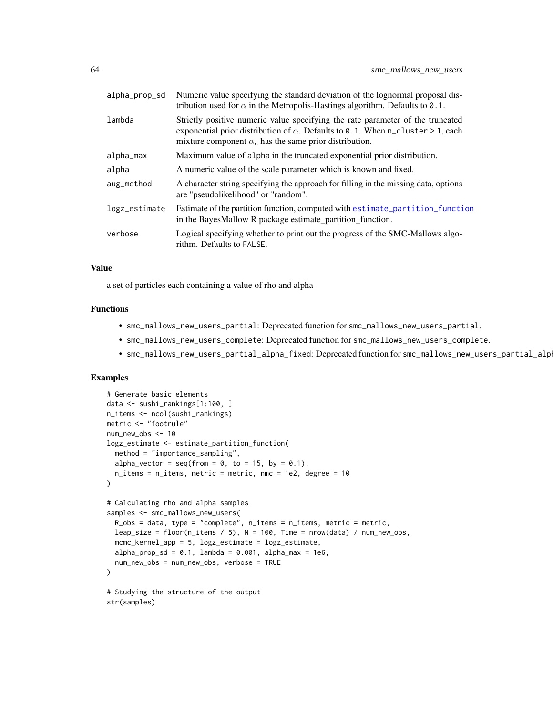<span id="page-63-0"></span>

| alpha_prop_sd | Numeric value specifying the standard deviation of the lognormal proposal dis-<br>tribution used for $\alpha$ in the Metropolis-Hastings algorithm. Defaults to 0.1.                                                                      |
|---------------|-------------------------------------------------------------------------------------------------------------------------------------------------------------------------------------------------------------------------------------------|
| lambda        | Strictly positive numeric value specifying the rate parameter of the truncated<br>exponential prior distribution of $\alpha$ . Defaults to 0.1. When n_cluster > 1, each<br>mixture component $\alpha_c$ has the same prior distribution. |
| alpha_max     | Maximum value of alpha in the truncated exponential prior distribution.                                                                                                                                                                   |
| alpha         | A numeric value of the scale parameter which is known and fixed.                                                                                                                                                                          |
| aug_method    | A character string specifying the approach for filling in the missing data, options<br>are "pseudolikelihood" or "random".                                                                                                                |
| logz_estimate | Estimate of the partition function, computed with estimate_partition_function<br>in the BayesMallow R package estimate_partition_function.                                                                                                |
| verbose       | Logical specifying whether to print out the progress of the SMC-Mallows algo-<br>rithm. Defaults to FALSE.                                                                                                                                |

#### Value

a set of particles each containing a value of rho and alpha

## Functions

- smc\_mallows\_new\_users\_partial: Deprecated function for smc\_mallows\_new\_users\_partial.
- smc\_mallows\_new\_users\_complete: Deprecated function for smc\_mallows\_new\_users\_complete.
- smc\_mallows\_new\_users\_partial\_alpha\_fixed: Deprecated function for smc\_mallows\_new\_users\_partial\_alpha\_fixed.

```
# Generate basic elements
data <- sushi_rankings[1:100, ]
n_items <- ncol(sushi_rankings)
metric <- "footrule"
num_new_obs <- 10
logz_estimate <- estimate_partition_function(
  method = "importance_sampling",
  alpha_vector = seq(from = 0, to = 15, by = 0.1),
  n_items = n_items, metric = metric, nmc = 1e2, degree = 10
)
# Calculating rho and alpha samples
samples <- smc_mallows_new_users(
  R_obs = data, type = "complete", n_items = n_items, metric = metric,
  leap_size = floor(n_items / 5), N = 100, Time = nrow(data) / num_new_obs,
  mcmc_kernel_app = 5, logz_estimate = logz_estimate,
  alpha_prop_sd = 0.1, lambda = 0.001, alpha_max = 1e6,
  num_new_obs = num_new_obs, verbose = TRUE
)
# Studying the structure of the output
str(samples)
```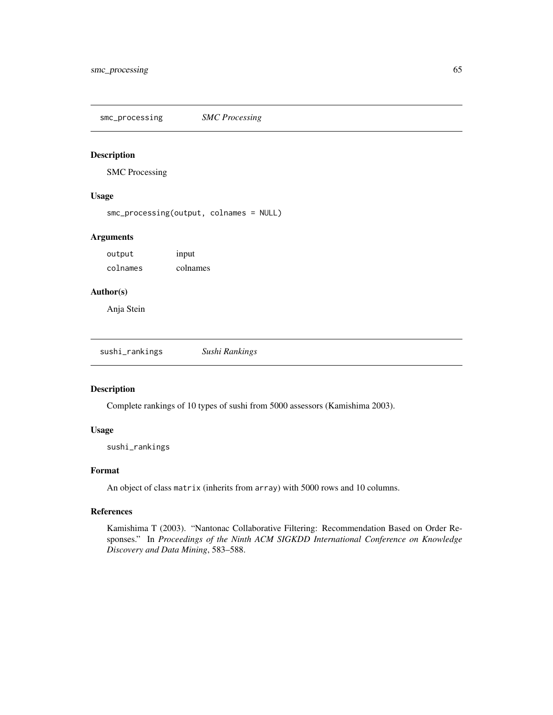<span id="page-64-0"></span>smc\_processing *SMC Processing*

## Description

SMC Processing

#### Usage

smc\_processing(output, colnames = NULL)

## Arguments

output input colnames colnames

## Author(s)

Anja Stein

sushi\_rankings *Sushi Rankings*

#### Description

Complete rankings of 10 types of sushi from 5000 assessors (Kamishima 2003).

#### Usage

sushi\_rankings

## Format

An object of class matrix (inherits from array) with 5000 rows and 10 columns.

## References

Kamishima T (2003). "Nantonac Collaborative Filtering: Recommendation Based on Order Responses." In *Proceedings of the Ninth ACM SIGKDD International Conference on Knowledge Discovery and Data Mining*, 583–588.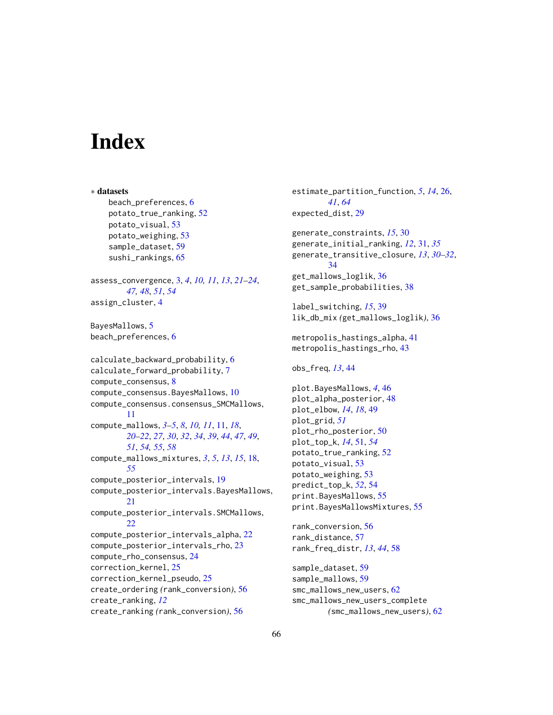# <span id="page-65-0"></span>**Index**

∗ datasets beach\_preferences, [6](#page-5-0) potato\_true\_ranking, [52](#page-51-0) potato\_visual, [53](#page-52-0) potato\_weighing, [53](#page-52-0) sample\_dataset, [59](#page-58-0) sushi\_rankings, [65](#page-64-0) assess\_convergence, [3,](#page-2-0) *[4](#page-3-0)*, *[10,](#page-9-0) [11](#page-10-0)*, *[13](#page-12-0)*, *[21–](#page-20-0)[24](#page-23-0)*, *[47,](#page-46-0) [48](#page-47-0)*, *[51](#page-50-0)*, *[54](#page-53-0)* assign\_cluster, [4](#page-3-0) BayesMallows, [5](#page-4-0) beach\_preferences, [6](#page-5-0) calculate\_backward\_probability, [6](#page-5-0) calculate\_forward\_probability, [7](#page-6-0) compute\_consensus, [8](#page-7-0) compute\_consensus.BayesMallows, [10](#page-9-0) compute\_consensus.consensus\_SMCMallows, [11](#page-10-0) compute\_mallows, *[3](#page-2-0)[–5](#page-4-0)*, *[8](#page-7-0)*, *[10,](#page-9-0) [11](#page-10-0)*, [11,](#page-10-0) *[18](#page-17-0)*, *[20](#page-19-0)[–22](#page-21-0)*, *[27](#page-26-0)*, *[30](#page-29-0)*, *[32](#page-31-0)*, *[34](#page-33-0)*, *[39](#page-38-0)*, *[44](#page-43-0)*, *[47](#page-46-0)*, *[49](#page-48-0)*, *[51](#page-50-0)*, *[54,](#page-53-0) [55](#page-54-0)*, *[58](#page-57-0)* compute\_mallows\_mixtures, *[3](#page-2-0)*, *[5](#page-4-0)*, *[13](#page-12-0)*, *[15](#page-14-0)*, [18,](#page-17-0) *[55](#page-54-0)* compute\_posterior\_intervals, [19](#page-18-0) compute\_posterior\_intervals.BayesMallows, [21](#page-20-0) compute\_posterior\_intervals.SMCMallows, [22](#page-21-0) compute\_posterior\_intervals\_alpha, [22](#page-21-0) compute\_posterior\_intervals\_rho, [23](#page-22-0) compute\_rho\_consensus, [24](#page-23-0) correction\_kernel, [25](#page-24-0) correction\_kernel\_pseudo, [25](#page-24-0) create\_ordering *(*rank\_conversion*)*, [56](#page-55-0) create\_ranking, *[12](#page-11-0)* create\_ranking *(*rank\_conversion*)*, [56](#page-55-0)

estimate\_partition\_function, *[5](#page-4-0)*, *[14](#page-13-0)*, [26,](#page-25-0) *[41](#page-40-0)*, *[64](#page-63-0)* expected\_dist, [29](#page-28-0) generate\_constraints, *[15](#page-14-0)*, [30](#page-29-0) generate\_initial\_ranking, *[12](#page-11-0)*, [31,](#page-30-0) *[35](#page-34-0)* generate\_transitive\_closure, *[13](#page-12-0)*, *[30](#page-29-0)[–32](#page-31-0)*, [34](#page-33-0) get\_mallows\_loglik, [36](#page-35-0) get\_sample\_probabilities, [38](#page-37-0) label\_switching, *[15](#page-14-0)*, [39](#page-38-0) lik\_db\_mix *(*get\_mallows\_loglik*)*, [36](#page-35-0) metropolis\_hastings\_alpha, [41](#page-40-0) metropolis\_hastings\_rho, [43](#page-42-0) obs\_freq, *[13](#page-12-0)*, [44](#page-43-0) plot.BayesMallows, *[4](#page-3-0)*, [46](#page-45-0) plot\_alpha\_posterior, [48](#page-47-0) plot\_elbow, *[14](#page-13-0)*, *[18](#page-17-0)*, [49](#page-48-0) plot\_grid, *[51](#page-50-0)* plot\_rho\_posterior, [50](#page-49-0) plot\_top\_k, *[14](#page-13-0)*, [51,](#page-50-0) *[54](#page-53-0)* potato\_true\_ranking, [52](#page-51-0) potato\_visual, [53](#page-52-0) potato\_weighing, [53](#page-52-0) predict\_top\_k, *[52](#page-51-0)*, [54](#page-53-0) print.BayesMallows, [55](#page-54-0) print.BayesMallowsMixtures, [55](#page-54-0) rank\_conversion, [56](#page-55-0) rank\_distance, [57](#page-56-0) rank\_freq\_distr, *[13](#page-12-0)*, *[44](#page-43-0)*, [58](#page-57-0) sample\_dataset, [59](#page-58-0) sample\_mallows, [59](#page-58-0) smc\_mallows\_new\_users, [62](#page-61-0) smc\_mallows\_new\_users\_complete *(*smc\_mallows\_new\_users*)*, [62](#page-61-0)